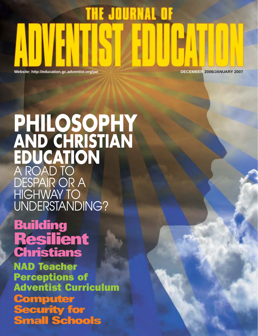# **THE JOURNAL OF**

**Website: http://education.gc.adventist.org/jae DECEMBER 2006/JANUARY 2007**

# **PHILOSOPHY AND CHRISTIAN EDUCATION** A ROAD TO DESPAIR OR A HIGHWAY TO UNDERSTANDING?

# **Building Resilient Christians**

NAD Teacher Perceptions of Adventist Curriculum **Computer Security for Small Schools**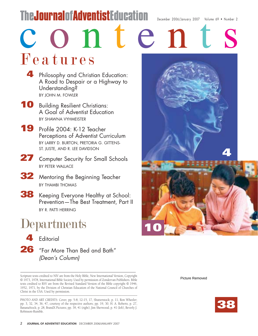# TheJournalofAdventistEducation December 2006/January 2007 Volume 69 • Number 2

c o n t e n t

Features

- **4** Philosophy and Christian Education: A Road to Despair or a Highway to Understanding? BY JOHN M. FOWLER
- **10** Building Resilient Christians: A Goal of Adventist Education BY SHAWNA VYHMEISTER
- **19** Profile 2004: K-12 Teacher Perceptions of Adventist Curriculum BY LARRY D. BURTON, PRETORIA G. GITTENS-ST. JUSTE, AND R. LEE DAVIDSON
- 27 Computer Security for Small Schools BY PETER WALLACE
- **32** Mentoring the Beginning Teacher BY THAMBI THOMAS
- **38** Keeping Everyone Healthy at School: Prevention—The Best Treatment, Part II BY R. PATTI HERRING

# **Departments**



**26** "Far More Than Bed and Bath" (Dean's Column)

Scripture texts credited to NIV are from the Holy Bible, New International Version, Copyright © 1973, 1978, International Bible Society. Used by permission of Zondervan Publishers. Bible texts credited to RSV are from the Revised Standard Version of the Bible copyright © 1946, 1952, 1971, by the Division of Christian Education of the National Council of Churches of Christ in the USA. Used by permission. \_\_\_\_\_\_\_\_\_\_\_\_\_\_\_\_\_\_\_\_\_\_\_\_\_\_\_\_\_\_\_\_\_\_\_\_\_\_\_\_\_\_\_\_\_\_\_\_\_\_\_\_\_\_\_\_\_\_\_\_\_\_\_\_\_\_\_\_\_\_\_\_\_\_

PHOTO AND ART CREDITS: Cover, pp. 5-8, 12-15, 17, Shutterstock; p. 11, Ron Wheeler; pp. 3, 32, 34, 36, 47, courtesy of the respective authors; pp. 19, 30, H. A. Roberts; p. 27, BananaStock; p. 28, BrandX Pictures; pp. 39, 41 (right), Jim Sherwood; p. 41 (left), Beverly J. Robinson-Rumble.



Picture Removed

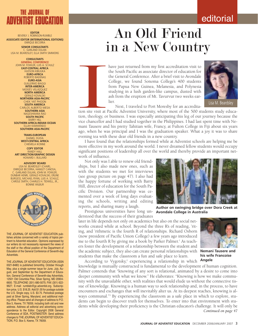## editorial



**EDITOR** BEVERLY J. ROBINSON-RUMBLE **ASSOCIATE EDITOR (INTERNATIONAL EDITIONS)** ENRIQUE BECERRA

**SENIOR CONSULTANTS**  C. GARLAND DULAN LISA M. BEARDSLEY, ELLA SMITH SIMMONS

**CONSULTANTS GENERAL CONFERENCE** JOHN M. FOWLER, LUIS A. SCHULZ **EAST-CENTRAL AFRICA** HUDSON KIRI **EURO-AFRICA** ROBERTO BADENAS **EURO-ASIA** GUILLERMO BIAGGI **INTER-AMERICA**  $MO$ **NORTH AMERICA** GERALD KOVALSKI **NORTHERN ASIA-PACIFIC** CHEK YAT PHOON **SOUTH AMERICA** CARLOS ALBERTO MESA **SOUTHERN ASIA** NAGESHWARA RAO **SOUTH PACIFIC BARRY HILL SOUTHERN AFRICA-INDIAN OCEAN** ELLAH KAMWENDO **SOUTHERN ASIA-PACIFIC**

**TRANS-EUROPEAN** DANIEL DUDA **WEST-CENTRAL AFRICA** CHIEMELA IKONNE **COPY EDITOR** RANDY HALL **ART DIRECTION/GRAPHIC DESIGN** HOWARD I. BULLARD

**ADVISORY BOARD** LISA M. BEARDSLEY (CHAIR), ENRIQUE BECERRA, HAMLET CANOSA, GARLAND DULAN, JOHN M. FOWLER DUNBAR HENRI, GERALD KOVALSKI, ERLINE BURGESS, MICHAEL RYAN, LUIS A. SCHULZ, CAROLE SMITH, CHARLES H. TIDWELL, JR., BONNIE WILBUR



THE JOURNAL OF ADVENTIST EDUCATION publishes articles concerned with a variety of topics pertinent to Adventist education. Opinions expressed by our writers do not necessarily represent the views of the staff or the official position of the Department of Education of the General Conference of Seventh-day **Adventists** 

THE JOURNAL OF ADVENTIST EDUCATION (ISSN 0021-8480) is published bimonthly, October through May, plus a single summer issue for June, July, August, and September by the Department of Education, General Conference of Seventh-day Adventists, 12501 Old Columbia Pike, Silver Spring, MD 20904- 6600. TELEPHONE (301) 680-5075; FAX (301) 622- 9627; E-mail: rumbleb@gc.adventist.org. Subscription price, U.S. \$18.25. Add \$1.00 for postage outside the U.S. Single copy, U.S. \$3.75. Periodical postage paid at Silver Spring, Maryland, and additional mailing office. Please send all changes of address to P.O. Box 5, Keene, TX 76059, including both old and new address. Address all editorial and advertising correspondence to the Editor. Copyright 2006 General Conference of SDA, POSTMASTER: Send address changes to THE JOURNAL OF ADVENTIST EDUCA-TION, P.O. Box 5, Keene, TX 76059.

# An Old Friend in a New Country

have just returned from my first accreditation visit to the South Pacific as associate director of education for the General Conference. After a brief visit to Avondale College, we found Sonoma College's 400 students from Papua New Guinea, Melanesia, and Polynesia studying in a lush garden-like campus, dusted with ash from the eruption of Mt. Tavurvur two weeks earlier.



Next, I traveled to Port Moresby for an accredita-

**ICCLUDE 18 AND THE EXECUTE 18 AND THE EXECUTE 18 AND THE EXECUTE 18 AND THE EXECUTIVE CONTINUITIES** tion site visit at Pacific Adventist University, where most of the 500 students study education, theology, or business. I was especially anticipating this leg of our journey because the vice chancellor and I had studied together in the Philippines. I had last spent time with Nemani Tausere and his pretty Tahitian wife, Francy, at Fulton College in Fiji about six years ago, when he was principal and I was the graduation speaker. What a joy it was to share evening tea with these dear old friends in a new country.

I have found that the relationships formed while at Adventist schools are helping me be more effective in my work around the world. I never dreamed fellow students would occupy significant positions of leadership all over the world and thereby provide an important network of influence.

Not only was I able to renew old friendships, but I also made new ones, such as with the students we met for interviews (see group picture on page 47). I also had the happy fortune of working with Barry Hill, director of education for the South Pacific Division. Our partnership was cemented over a week of long days evaluating the schools, writing and editing reports, and sharing many a laugh.

Prestigious universities have long un-**Avondale College in Australia** derstood that the success of their graduates

later in life depends not only on academics but also on the social networks created while at school. Beyond the three R's of reading, 'riting, and 'rithmetic is the fourth R of relationships. Richard Osborn (now president of Pacific Union College) a few years ago introduced me to the fourth R by giving me a book by Parker Palmer.<sup>1</sup> As teachers foster the development of a relationship between the student and the academic subject, they also can create personal relationships with students that make the classroom a fun and safe place to learn.

According to Vygotsky,<sup>2</sup> experiencing a relationship in which **his wife Francoise Angele**

knowledge is mutually constructed is fundamental to the development of human cognition. Palmer contends that "knowing of any sort is relational, animated by a desire to come into deeper community with what we know." He elaborates: "Knowing is how we make community with the unavailable other, with realities that would elude us without the connective tissue of knowledge. Knowing is a human way to seek relationship and, in the process, to have encounters and exchanges that will inevitably alter us. At its deepest reaches, knowing is always communal."3 By experiencing the classroom as a safe place in which to explore, students can begin to discover truth for themselves. To enter into that environment with students while developing their proficiency is the Christian educator's challenge. It will only be *Continued on page 47*

**Author on swinging bridge over Dora Creek at**

**Nemani Tausere and**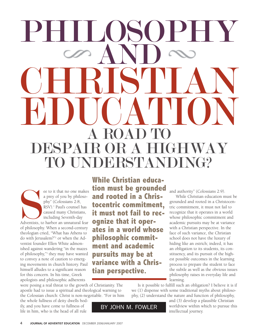# PHILOSOPHY AND CHRISTIAN EDUCATION A ROAD <sup>D</sup>AIR OR A H DERSTANDING?

Adventists, to ee to it that no one makes a prey of you by philosophy" (Colossians 2:8, RSV).<sup>1</sup> Paul's counsel has caused many Christians, including Seventh-day Adventists, to harbor an unnatural fear of philosophy. When a second-century theologian cried, "What has Athens to do with Jerusalem?"2 or when the Adventist founder Ellen White admonished against wandering "in the mazes of philosophy,"3 they may have wanted to convey a note of caution to emerging movements in church history. Paul himself alludes to a significant reason for this concern. In his time, Greek apologists and philosophic adherents

were posing a real threat to the growth of Christianity. The apostle had to issue a spiritual and theological warning to the Colossian church: Christ is non-negotiable. "For in him

the whole fullness of deity dwells bodily, and you have come to fullness of life in him, who is the head of all rule

**While Christian education must be grounded and rooted in a Christocentric commitment, it must not fail to recognize that it operates in a world whose philosophic commitment and academic pursuits may be at variance with a Christian perspective.**

and authority" (Colossians 2:9).

While Christian education must be grounded and rooted in a Christocentric commitment, it must not fail to recognize that it operates in a world whose philosophic commitment and academic pursuits may be at variance with a Christian perspective. In the face of such variance, the Christian school does not have the luxury of hiding like an ostrich; indeed, it has an obligation to its students, its constituency, and its pursuit of the highest possible outcomes in the learning process to prepare the student to face the subtle as well as the obvious issues philosophy raises in everyday life and learning.

Is it possible to fulfill such an obligation? I believe it is if we (1) dispense with some traditional myths about philosophy, (2) understand the nature and function of philosophy,

BY JOHN M. FOWLER

and (3) develop a plausible Christian worldview within which to pursue this intellectual journey.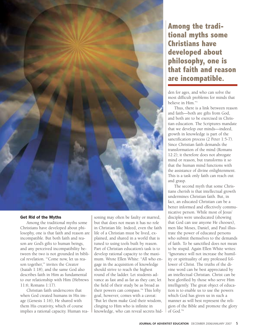

## Get Rid of the Myths

Among the traditional myths some Christians have developed about philosophy, one is that faith and reason are incompatible. But both faith and reason are God's gifts to human beings, and any perceived incompatibility between the two is not grounded in biblical revelation. "'Come now, let us reason together,'" invites the Creator (Isaiah 1:18), and the same God also describes faith in Him as fundamental to our relationship with Him (Hebrews 11:6; Romans 1:17).

Christian faith underscores that when God created humans in His image (Genesis 1:16), He shared with them His creativity, which of course implies a rational capacity. Human reasoning may often be faulty or marred, but that does not mean it has no role in Christian life. Indeed, even the faith life of a Christian must be lived, explained, and shared in a world that is tuned to using tools built by reason. Part of Christian education's task is to develop rational capacity to the maximum. Wrote Ellen White: "All who engage in the acquisition of knowledge should strive to reach the highest round of the ladder. Let students advance as fast and as far as they can; let the field of their study be as broad as their powers can compass."4 This lofty goal, however, comes with a caveat: "But let them make God their wisdom, clinging to Him who is infinite in knowledge, who can reveal secrets hid-

## **Among the traditional myths some Christians have developed about philosophy, one is that faith and reason are incompatible.**

den for ages, and who can solve the most difficult problems for minds that believe in Him<sup>"5</sup>

Thus, there is a link between reason and faith—both are gifts from God, and both are to be exercised in Christian education. The Scriptures mandate that we develop our minds—indeed, growth in knowledge is part of the sanctification process (2 Peter 1:5-7). Since Christian faith demands the transformation of the mind (Romans 12:2); it therefore does not abrogate mind or reason, but transforms it so that the human mind functions with the assistance of divine enlightenment. This is a task only faith can reach out and grasp.

The second myth that some Christians cherish is that intellectual growth undermines Christian faith. But, in fact, an educated Christian can be a better informed and effectively communicative person. While most of Jesus' disciples were uneducated (showing that God can use anyone He chooses), men like Moses, Daniel, and Paul illustrate the power of educated persons who submit themselves to the demands of faith. To be sanctified does not mean to be stupid. Again Ellen White writes: "Ignorance will not increase the humility or spirituality of any professed follower of Christ. The truths of the divine word can be best appreciated by an intellectual Christian. Christ can be best glorified by those who serve Him intelligently. The great object of education is to enable us to use the powers which God has given us in such a manner as will best represent the religion of the Bible and promote the glory of God."6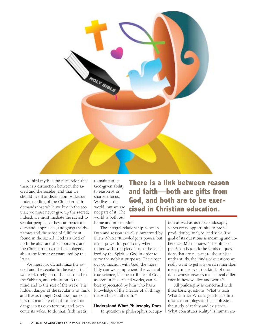

A third myth is the perception that there is a distinction between the sacred and the secular, and that we should live that distinction. A deeper understanding of the Christian faith demands that while we live in the secular, we must never give up the sacred; indeed, we must mediate the sacred to secular people, so they can better understand, appreciate, and grasp the dynamics and the sense of fulfillment found in the sacred. God is a God of both the altar and the laboratory, and the Christian must not be apologetic about the former or enamored by the latter.

We must not dichotomize the sacred and the secular to the extent that we restrict religion to the heart and to the Sabbath, and education to the mind and to the rest of the week. The hidden danger of the secular is to think and live as though God does not exist. It is the mandate of faith to face that danger in its own territory and overcome its wiles. To do that, faith needs

to maintain its God-given ability to reason at its sharpest focus. We live in the world, but we are not part of it. The world is both our home and our mission.

The integral relationship between faith and reason is well summarized by Ellen White: "Knowledge is power, but it is a power for good only when united with true piety. It must be vitalized by the Spirit of God in order to serve the noblest purposes. The closer our connection with God, the more fully can we comprehend the value of true science; for the attributes of God, as seen in His created works, can be best appreciated by him who has a knowledge of the Creator of all things, the Author of all truth."7

## Understand What Philosophy Does

To question is philosophy's occupa-

**There is a link between reason and faith—both are gifts from God, and both are to be exercised in Christian education.**

> tion as well as its tool. Philosophy seizes every opportunity to probe, prod, doubt, analyze, and seek. The goal of its questions is meaning and coherence. Morris notes: "The philosopher's job is to ask the kinds of questions that are relevant to the subject under study, the kinds of questions we really want to get answered rather than merely muse over, the kinds of questions whose answers make a real difference in how we live and work."8

All philosophy is concerned with three basic questions: What is real? What is true? What is good? The first relates to ontology and metaphysics, the study of reality and existence. What constitutes reality? Is human ex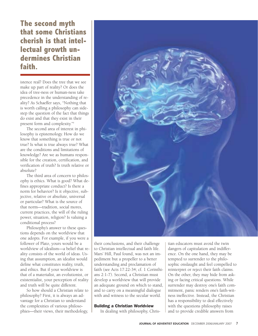**The second myth that some Christians cherish is that intellectual growth undermines Christian faith.**

istence real? Does the tree that we see make up part of reality? Or does the idea of tree-ness or human-ness take precedence in the understanding of reality? As Schaeffer says, "Nothing that is worth calling a philosophy can sidestep the question of the fact that things do exist and that they exist in their present form and complexity."9

The second area of interest in philosophy is epistemology. How do we know that something is true or not true? Is what is true always true? What are the conditions and limitations of knowledge? Are we as humans responsible for the creation, certification, and verification of truth? Is truth relative or absolute?

The third area of concern to philosophy is ethics. What is good? What defines appropriate conduct? Is there a norm for behavior? Is it objective, subjective, relative or absolute, universal or particular? What is the source of that norm—tradition, social mores, current practices, the will of the ruling power, situation, religion? Is valuing a conditional process?

Philosophy's answer to these questions depends on the worldview that one adopts. For example, if you were a follower of Plato, yours would be a worldview of idealism—a belief that reality consists of the world of ideas. Using that assumption, an idealist would define what constitutes reality, truth, and ethics. But if your worldview is that of a materialist, an evolutionist, or existentialist, your perception of reality and truth will be quite different.

So how should a Christian relate to philosophy? First, it is always an advantage for a Christian to understand the complexities of various philosophies—their views, their methodology,



their conclusions, and their challenge to Christian intellectual and faith life. Mars' Hill, Paul found, was not an impediment but a propeller to a better understanding and proclamation of faith (see Acts 17:22-34; cf. 1 Corinthians 2:1-7). Second, a Christian must develop a worldview that will provide an adequate ground on which to stand, and to carry on a meaningful dialogue with and witness to the secular world.

## Building a Christian Worldview

In dealing with philosophy, Chris-

tian educators must avoid the twin dangers of capitulation and indifference. On the one hand, they may be tempted to surrender to the philosophic onslaught and feel compelled to reinterpret or reject their faith claims. On the other, they may hide from asking or facing critical questions. While surrender may destroy one's faith commitment, panic renders one's faith-witness ineffective. Instead, the Christian has a responsibility to deal effectively with the questions philosophy raises and to provide credible answers from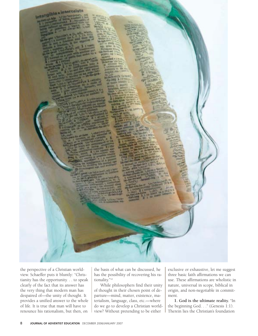Intangible - Intercelate

the perspective of a Christian worldview. Schaeffer puts it bluntly: "Christianity has the opportunity. . . to speak clearly of the fact that its answer has the very thing that modern man has despaired of—the unity of thought. It provides a unified answer to the whole of life. It is true that man will have to renounce his rationalism, but then, on

the basis of what can be discussed, he has the possibility of recovering his rationality."10

While philosophers find their unity of thought in their chosen point of departure—mind, matter, existence, materialism, language, class, etc.—where do we go to develop a Christian worldview? Without pretending to be either

exclusive or exhaustive, let me suggest three basic faith affirmations we can use. These affirmations are wholistic in nature, universal in scope, biblical in origin, and non-negotiable in commitment.

**1. God is the ultimate reality.** "In the beginning God. . ." (Genesis 1:1). Therein lies the Christian's foundation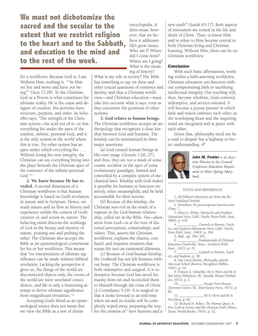**We must not dichotomize the sacred and the secular to the extent that we restrict religion to the heart and to the Sabbath, and education to the mind and to the rest of the week.**

for a worldview. Because God is, I am. Without Him, nothing is. ""In Him we live and move and have our being"'" (Acts 17:28). To the Christian, God as a Person is what constitutes the ultimate reality. He is the cause and designer of creation. His activities have structure, purpose, and order. As Schaeffer says, "The strength of the Christian system—the acid test of it—is that everything fits under the apex of the existent, infinite, personal God, and it is the only system in the world where this is true. No other system has an apex under which everything fits. . . . Without losing his own integrity, the Christian can see everything fitting into the place beneath the Christian apex of the existence of the infinite-personal God."<sup>11</sup>

**2. We know because He has revealed.** A second dimension of a Christian worldview is that human knowledge is based on God's revelation in nature and in Scripture. Hence, we study nature and its flow in history and experience within the context of God's creation of, and action in, nature. The believing mind discerns the workings of God in the beauty and mystery of nature, praising one and probing the other. The Christian also accepts the Bible as an epistemological cornerstone for his or her worldview. This means that "no interpretation of ultimate significance can be made without biblical revelation. Lacking the perspective it gives us, the things of the world are disconnected objects only, the events of the world are mere unrelated coincidences, and life is only a frustrating attempt to derive ultimate significance from insignificant trivialities."<sup>12</sup>

Accepting God's Word as an epistemological source does not mean that we view the Bible as a sort of divine

encyclopedia. It does mean, however, that we believe it addresses life's great issues: Who am I? Where did I come from? Where am I going? What is the meaning of history?

What is my role in society? The Bible has something to say on these and other crucial questions of existence and destiny, and thus a Christian worldview—and Christian education—must take into account what it says, even as they encounter the positions of other systems.

**3. God relates to human beings.** The Christian worldview accepts an anthropology that recognizes a close kinship between God and humans. The kinship can be summarized in three major assertions:

(a) God created human beings in His own image (Genesis 1:26, 27), and thus, they are not a result of some cosmic accident or the apex of some evolutionary paradigm, limited and controlled by a complex system of mechanical laws. Kinship with God makes it possible for humans to function creatively, relate meaningfully, and be held accountable for their actions.

(b) Because of this kinship, the Christian sees evil as the result of a rupture in the God-human relationship, called sin in the Bible. Sin—alienation from God—is at the root of distorted perceptions, relationships, and values. This, asserts the Christian worldview, explains the chaotic, confused, and hopeless situation that warps life into an existential dilemma.

(c) Because of God-human kinship, the Godhead has not left humans without hope. The Christian worldview is both redemptive and surgical. It is redemptive because God has saved humanity from sin and reconciled them to Himself through the cross of Christ (2 Corinthians 5:19). It is surgical in that it looks forward to an end-time when sin and its results will be completely wiped away, preparing the way for the creation of "'new heavens and a

new earth'" (Isaiah 65:17). Both aspects of restoration are rooted in the life and death of Christ. Thus, to know Him and to relate to Him become central to both Christian living and Christian learning. Without Him, there can be no Christian worldview.

## **Conclusion**

With such basic affirmations, working within a faith-asserting worldview, Christian education can function without compromising faith or sacrificing intellectual integrity. Our teaching will, then, become wholistic, God-centered, redemptive, and service-oriented. It will become a joyous pursuit in which faith and reason embrace each other, as the worshiping heart and the inquiring mind are integrated and at peace with each other.

Given that, philosophy need not be a road to despair but a highway to better understanding. ✐



John M. Fowler *is an Associate Director in the General Conference Education Department in Silver Spring, Maryland,*

\_\_\_\_\_\_\_\_\_\_\_\_\_\_\_\_\_\_\_\_

#### NOTES AND REFERENCES

1. All biblical references are from the Revised Standard Version.

2. Tertullian, *De praescriptione haereticorum*, Chap. 7.

3. Ellen G. White, *Patriarchs and Prophets* (Mountain View, Calif.: Pacific Press Publ. Assn., 1890), p. 432.<br>4.

4. \_\_\_\_\_\_\_\_\_\_\_, *Counsels to Parents, Teachers, and Students* (Mountain View, Calif.: Pacific Press Publ. Assn., 1943), p. 394.

5. Ibid., pp. 394, 395.

6. \_\_\_\_\_\_\_\_\_\_\_, *Fundamentals of Christian Education* (Nashville, Tenn.: Southern Publ.

Assn., 1923), p. 45. 7. \_\_\_\_\_\_\_\_\_\_\_, *Counsels to Parents, Teachers, and Students*, p. 38.

8. Van Cleve Morris, *Philosophy and the American School* (Boston: Houghton Mifflin, 1961), p. 19.

9. Francis A. Schaeffer, *He Is There and He Is Not Silent* (Wheaton, Ill.: Tyndale House Publishers, 1972), p. 1.

10. \_\_\_\_\_\_\_\_\_\_\_\_\_, *Escape From Reason* (Downers Grove, Ill.: InterVarsity Press, 1973), p. 82.

11. \_\_\_\_\_\_\_\_\_\_\_\_\_, *He Is There and He Is Not Silent*, p. 81.

12. Richard H. Buber, *The Human Quest: A New Look at Science and the Christian Faith* (Waco, Texas: World Books, 1976), p. 52.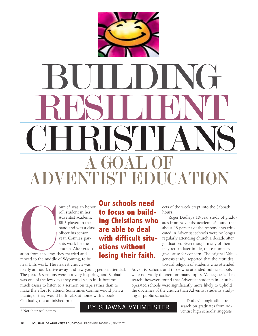

onnie\* was an honor roll student in her Adventist academy. Bill\* played in the band and was a class officer his senior year. Connie's parents work for the church. After gradu-

ation from academy, the middle near Bill's work. The ation from academy, they married and moved to the middle of Wyoming, to be near Bill's work. The nearest church was

nearly an hour's drive away, and few young people attended. The pastor's sermons were not very inspiring, and Sabbath was one of the few days they could sleep in. It became much easier to listen to a sermon on tape rather than to make the effort to attend. Sometimes Connie would plan a picnic, or they would both relax at home with a book. Gradually, the unfinished proj-

**Our schools need to focus on building Christians who are able to deal with difficult situations without losing their faith.**

ects of the week crept into the Sabbath hours.

Roger Dudley's 10-year study of graduates from Adventist academies<sup>1</sup> found that about 48 percent of the respondents educated in Adventist schools were no longer regularly attending church a decade after graduation. Even though many of them may return later in life, these numbers give cause for concern. The original Valuegenesis study<sup>2</sup> reported that the attitudes toward religion of students who attended

Adventist schools and those who attended public schools were not vastly different on many topics. Valuegenesis II research, however, found that Adventist students in churchoperated schools were significantly more likely to uphold the doctrines of the church than Adventist students studying in public schools.3

> Dudley's longitudinal research on graduates from Adventist high schools<sup>4</sup> suggests

\* Not their real names.

## BY SHAWNA VYHMEISTER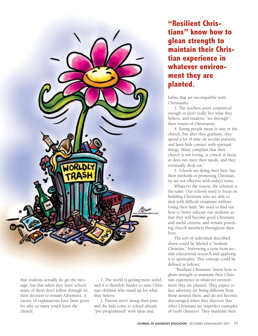

that students actually do get the message, but that when they leave school, many of them don't follow through on their decision to remain Adventists. A variety of explanations have been given for why so many youth leave the church:

1. The world is getting more sinful, and it is therefore harder to raise Christian children who stand up for what they believe.

2. Parents aren't doing their part, and the kids come to school already "pre-programmed" with ideas and

**"Resilient Christians" know how to glean strength to maintain their Christian experience in whatever environment they are planted.**

habits that are incompatible with Christianity.

3. The teachers aren't committed enough or don't really live what they believe, and students "see through" their veneer of Christianity.

4. Young people mean to stay in the church, but after they graduate, they spend a lot of time on secular pursuits, and have little contact with spiritual things. Many complain that their church is not loving, is critical of them, or does not meet their needs, and they eventually drop out.<sup>5</sup>

5. Schools are doing their best, but their methods of promoting Christianity are not effective with today's teens.

Whatever the reason, the solution is the same: Our schools need to focus on building Christians who are able to deal with difficult situations without losing their faith. We need to find out how to better educate our students so that they will become good Christians and useful citizens, and remain practicing church members throughout their lives.

The sort of individual described above could be labeled a "resilient Christian," borrowing a term from secular educational research and applying it to spirituality. This concept could be defined as follows:

"Resilient Christians" know how to glean strength to maintain their Christian experience in whatever environment they are planted. They expect to face adversity for being different from those around them, and do not become discouraged when they discover that other Christians are imperfect examples of God's character. They maintain their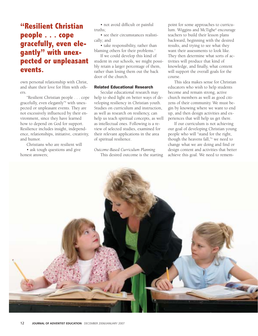## **"Resilient Christian people . . . cope gracefully, even elegantly" with unexpected or unpleasant events.**

own personal relationship with Christ, and share their love for Him with others.

"Resilient Christian people . . . cope gracefully, even elegantly"6 with unexpected or unpleasant events. They are not excessively influenced by their environment, since they have learned how to depend on God for support. Resilience includes insight, independence, relationships, initiative, creativity, and humor.

Christians who are resilient will

• ask tough questions and give honest answers;

• not avoid difficult or painful truths;

• see their circumstances realistically; and

• take responsibility, rather than blaming others for their problems.<sup>7</sup>

If we could develop this kind of student in our schools, we might possibly retain a larger percentage of them, rather than losing them out the back door of the church.

## Related Educational Research

Secular educational research may help to shed light on better ways of developing resiliency in Christian youth. Studies on curriculum and instruction, as well as research on resiliency, can help us teach spiritual concepts, as well as intellectual ones. Following is a review of selected studies, examined for their relevant applications in the area of spiritual resilience.

*Outcome-Based Curriculum Planning* This desired outcome is the starting

point for some approaches to curriculum. Wiggins and McTighe<sup>8</sup> encourage teachers to build their lesson plans backward, beginning with the desired results, and trying to see what they want their assessments to look like. They then determine what sorts of activities will produce that kind of knowledge, and finally, what content will support the overall goals for the course.

This idea makes sense for Christian educators who wish to help students become and remain strong, active church members as well as good citizens of their community. We must begin by knowing where we want to end up, and then design activities and experiences that will help us get there.

If our curriculum is not achieving our goal of developing Christian young people who will "stand for the right, though the heavens fall,"9 we need to change what we are doing and find or design content and activities that better achieve this goal. We need to remem-

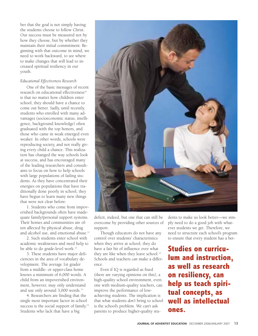ber that the goal is not simply having the students choose to follow Christ. Our success must be measured not by how they choose, but by whether they maintain their initial commitment. Beginning with that outcome in mind, we need to work backward, to see where to make changes that will lead to increased spiritual resiliency in our youth.

## *Educational Effectiveness Research*

One of the basic messages of recent research on educational effectiveness<sup>10</sup> is that no matter how children enter school, they should have a chance to come out better. Sadly, until recently, students who enrolled with many advantages (socioeconomic status, intelligence, background knowledge) often graduated with the top honors, and those who came in weak emerged even weaker. In other words, schools were reproducing society, and not really giving every child a chance. This realization has changed the way schools look at success, and has encouraged many of the leading researchers and consultants to focus on how to help schools with large populations of failing students. As they have concentrated their energies on populations that have traditionally done poorly in school, they have begun to learn many new things that were not clear before:

1. Students who come from impoverished backgrounds often have inadequate family/personal support systems. Their homes and communities are often affected by physical abuse, drug and alcohol use, and emotional abuse.<sup>11</sup>

2. Such students enter school with academic weaknesses and need help to be able to do grade-level work.<sup>12</sup>

3. These students have major deficiencies in the area of vocabulary development. The average 1st grader from a middle- or upper-class home knows a minimum of 6,000 words. A child from an impoverished environment, however, may only understand and use only around 3,000 words.<sup>13</sup>

4. Researchers are finding that the single most important factor in school success is the social support of family.<sup>14</sup> Students who lack that have a big



deficit, indeed, but one that can still be overcome by providing other sources of support.

Though educators do not have any control over students' characteristics when they arrive at school, they do have a fair bit of influence over what they are like when they leave school.<sup>15</sup> Schools and teachers *can* make a difference.

Even if IQ is regarded as fixed (there are varying opinions on this), a high-quality school environment, even one with medium-quality teachers, can improve the performance of lowachieving students. The implication is that what students *don't* bring to school is the school's problem. We can't ask parents to produce higher-quality students to make us look better—we simply need to do a good job with whatever students we get. Therefore, we need to structure each school's program to ensure that every student has a bet-

**Studies on curriculum and instruction, as well as research on resiliency, can help us teach spiritual concepts, as well as intellectual ones.**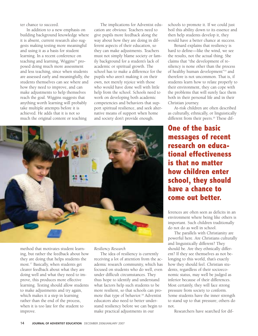ter chance to succeed.

In addition to a new emphasis on building background knowledge where it is absent, current research also suggests making testing more meaningful and using it as a basis for student learning. In a recent conference on teaching and learning, Wiggins<sup>16</sup> proposed doing much more assessment and less teaching, since when students are assessed early and meaningfully, the students themselves can see where and how they need to improve, and can make adjustments to help themselves reach the goal. Wiggins suggests that anything worth learning will probably take multiple attempts before it is achieved. He adds that it is not so much the original content or teaching

The implications for Adventist education are obvious: Teachers need to give pupils more feedback along the way about how they are doing in different aspects of their education, so they can make adjustments. Teachers must not simply blame society or family background for a student's lack of academic or spiritual growth. The school has to make a difference for the pupils who aren't making it on their own, not merely rejoice with those who would have done well with little help from the school. Schools need to work on developing both academic competencies and behaviors that support spiritual resilience, and seek alternative means of support when home and society don't provide enough.



method that motivates student learning, but rather the feedback about how they are doing that helps students the most.17 Basically, when students get clearer feedback about what they are doing well and what they need to improve, this produces more effective learning. Testing should allow students to make adjustments and try again, which makes it a step in learning rather than the end of the process, when it is too late for the student to improve.

*Resiliency Research*

The idea of resiliency is currently receiving a lot of attention from the academic research community, which has focused on students who do well, even under difficult circumstances. They thus hope to identify and understand what factors help such students to be more resilient, so that schools can promote that type of behavior.<sup>18</sup> Adventist educators also need to better understand resiliency before we can begin to make practical adjustments in our

schools to promote it. If we could just boil this ability down to its essence and then help students develop it, they would have a better chance at success.

Benard explains that resiliency is hard to define—like the wind, we see the results, not the actual thing. She claims that "the development of resiliency is none other than the process of healthy human development"19 and therefore is not uncommon. That is, if students learn how to relate properly to their environment, they can cope with the problems that will surely face them both in their personal life and in their Christian journey.

At-risk children are often described as culturally, ethnically, or linguistically different from their peers.<sup>20</sup> These dif-

**One of the basic messages of recent research on educational effectiveness is that no matter how children enter school, they should have a chance to come out better.**

ferences are often seen as deficits in an environment where being like others is important. Such children traditionally do not do as well in school.

The parallels with Christianity are powerful here. Are Christians culturally and linguistically different? They should be. Are they ethnically different? If they see themselves as not belonging to this world, that's exactly how they should feel. Christian students, regardless of their socioeconomic status, may well be judged as inferior because of their differences. Most certainly, they will face strong pressure from society to conform. Some students have the inner strength to stand up to that pressure; others do not.

Researchers have searched for dif-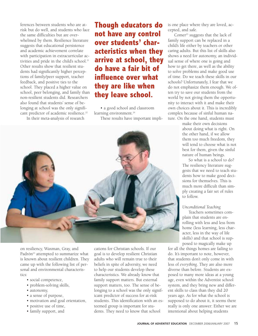ferences between students who are atrisk but do well, and students who face the same difficulties but are overwhelmed by them. Resilience literature suggests that educational persistence and academic achievement correlate with participation in extracurricular activities and pride in the child's school.<sup>21</sup> Other results show that resilient students had significantly higher perceptions of family/peer support, teacher feedback, and positive ties to the school. They placed a higher value on school, peer belonging, and family than non-resilient students did. Researchers also found that students' sense of belonging at school was the only significant predictor of academic resilience.<sup>22</sup>

In their meta-analysis of research

**Though educators do not have any control over students' characteristics when they arrive at school, they do have a fair bit of influence over what they are like when they leave school.**

• a good school and classroom learning environment.<sup>24</sup> These results have important impli-



on resiliency, Waxman, Gray, and Padrón<sup>23</sup> attempted to summarize what is known about resilient children. They came up with the following list of personal and environmental characteristics:

- social competence,
- problem-solving skills,
- autonomy,
- a sense of purpose,
- motivation and goal orientation,
- positive use of time,
- family support, and

cations for Christian schools. If our goal is to develop resilient Christian adults who will remain true to their beliefs in spite of adversity, we need to help our students develop these characteristics. We already know that family support matters. But external support matters, too. The sense of belonging to a school was the only significant predictor of success for at-risk students. This identification with an esteemed group is important for students. They need to know that school

is one place where they are loved, accepted, and safe.

Comer<sup>25</sup> suggests that the lack of family support can be replaced in a child's life either by teachers or other caring adults. But this list of skills also shows a need for autonomy, an individual sense of where one is going and how to get there, as well as the ability to solve problems and make good use of time. Do we teach these skills in our schools? Unfortunately, I fear that we do not emphasize them enough. We often try to save our students from the world by not giving them the opportunity to interact with it and make their own choices about it. This is incredibly complex because of sinful human nature. On the one hand, students must

> make their own decisions about doing what is right. On the other hand, if we allow them too much freedom, they will tend to choose what is not best for them, given the sinful nature of human beings.

So what is a school to do? The resiliency literature suggests that we need to teach students how to make good decisions for themselves. This is much more difficult than simply creating a fair set of rules to follow.

## *Unconditional Teaching*

Teachers sometimes complain that students are enrolling with less and less from home (less learning, less character, less in the way of life skills) and that school is supposed to magically make up

for all the things homes are failing to do. It's important to note, however, that students don't only come in with less of *everything*. They are also more diverse than before. Students are exposed to many more ideas at a young age, even within the Adventist school system, and they bring new and different skills to class than they did 20 years ago. As for what the school is supposed to do about it, it seems there really is only one answer: Either we are intentional about helping students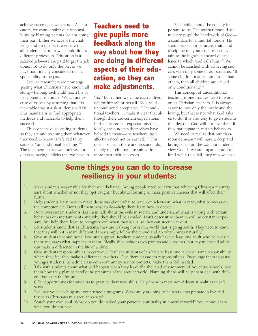achieve success, or we are not. As educators, we cannot shirk our responsibility by blaming parents for not doing their part. Either we accept the challenge and do our best to ensure that all students learn, or we should find a different profession. Education is a salaried job—we are paid to get the job done, not to do only the pieces we have traditionally considered our responsibility in the past.

Secular researchers are now suggesting what Christians have known all along—helping each child reach his or her potential is a must. We cannot excuse ourselves by assuming that it is inevitable that at-risk students will fail. Our mandate is to find appropriate methods and materials to help them succeed.

This concept of accepting students as they are and teaching them whatever they need to know is referred to by some as "unconditional teaching."26 The idea here is that we don't see students as having deficits that we have to

## **Teachers need to give pupils more feedback along the way about how they are doing in different aspects of their education, so they can make adjustments.**

"fix," but rather, we value each individual for himself or herself. Kids need unconditional acceptance. "Unconditional teachers. . . make it clear that although there are certain expectations in the classroom—expectations that, ideally, the students themselves have helped to create—the teacher's basic affection need not be earned."27 This does not mean there are no standards; merely that children are valued for more than their successes.

Each child should be equally important to us. The teacher "should see in every pupil the handiwork of God a candidate for immortal honors. He should seek so to educate, train, and discipline the youth that each may attain to the highest standard of excellence to which God calls him."28 We cannot be satisfied with achieving success with only some of our students. "If some children matter more to us than others, then all children are valued only conditionally."29

This concept of unconditional teaching is one that we need to work on as Christian teachers. It is always easier to love only the lovely and the loving, but that is not what God asks us to do. It is also easy to give students the idea that God will not love them if they participate in certain behaviors.

We need to realize that our classroom demeanor will have a deep and lasting effect on the way our students view God. If we are impatient and unkind when they fail, they may well see

## Some things you can do to increase resiliency in your students:

- 1. Make students responsible for their own behavior. Young people need to learn that achieving Christian maturity isn't about whether or not they "get caught," but about learning to make positive choices that will affect their future.
- 2. Help students learn how to make decisions about what to watch on television, what to read, what to access on the computer, etc. Don't tell them what to do—help them learn how to decide.
- 3. Don't overprotect students. Let them talk about the evils in society and understand what is wrong with certain behaviors or entertainments and why they should be avoided. Don't desensitize them to evil by constant exposure, but help them learn to recognize evil when they see it, so they can steer clear of it.
- 4. Let students know that as Christians, they are walking north in a world that is going south. They need to know that they will not remain different if they simply follow the crowd and do what comes naturally.
- 5. Give students unconditional love and support. Resilient students usually have at least one adult who believes in them and cares what happens to them. Ideally, this includes two parents and a teacher, but any interested adult can make a difference in the life of a child.
- 6. Give students responsibilities to carry out. Resilient students often have at least one talent or some responsibility where they feel they make a difference to others. Give them classroom responsibilities. Encourage them to assist younger students. Schedule classroom community service projects. Make them feel needed.
- 7. Talk with students about what will happen when they leave the sheltered environment of Adventist schools. Ask them how they plan to handle the pressures of the secular world. Planning ahead will help them deal with difficult issues in the future.
- 8. Offer opportunities for students to practice their new skills. Help them to meet non-Adventist realities in safe ways.
- 9. Evaluate your teaching and your school's programs. What are you doing to help students prepare to live and thrive as Christians in a secular society?
- 10. Search your own soul. What do you do to feed your personal spirituality in a secular world? You cannot share what you do not have.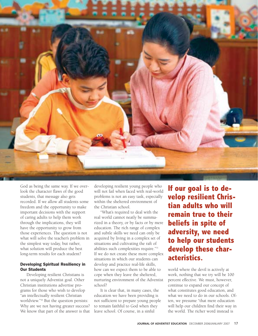

God as being the same way. If we overlook the character flaws of the good students, that message also gets recorded. If we allow all students some freedom and the opportunity to make important decisions with the support of caring adults to help them work through the implications, they will have the opportunity to grow from those experiences. The question is not what will solve the teacher's problem in the simplest way today, but rather, what solution will produce the best long-term results for each student?

## Developing Spiritual Resiliency in Our Students

Developing resilient Christians is not a uniquely Adventist goal. Other Christian institutions advertise programs for those who wish to develop "an intellectually resilient Christian worldview."30 But the question persists: Why are we not having greater success? We know that part of the answer is that developing resilient young people who will not fail when faced with real-world problems is not an easy task, especially within the sheltered environment of the Christian school.

"What's required to deal with the real world cannot neatly be summarized in a theory, or by facts or by mere education. The rich range of complex and subtle skills we need can only be acquired by living in a complex set of situations and cultivating the raft of abilities such complexities require."31 If we do not create these more complex situations in which our students can develop and practice real-life skills, how can we expect them to be able to cope when they leave the sheltered, nurturing environment of the Adventist school?

It is clear that, in many cases, the education we have been providing is not sufficient to prepare young people to remain faithful to God when they leave school. Of course, in a sinful

**If our goal is to develop resilient Christian adults who will remain true to their beliefs in spite of adversity, we need to help our students develop these characteristics.**

world where the devil is actively at work, nothing that we try will be 100 percent effective. We must, however, continue to expand our concept of what constitutes good education, and what we need to do in our schools. Often, we presume "that mere education will help our children find their way in the world. The richer word instead is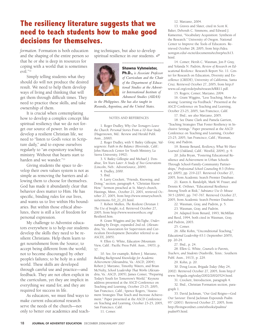## **The resiliency literature suggests that we need to teach students how to make good decisions for themselves.**

*formation*. Formation is both education and the shaping of the entire person so that he or she is deep in resources for coping with a world that is sometimes evil."32

Simply telling students what they should do will not produce the desired result. We need to help them develop ways of living and thinking that will get them through difficult times. They need to practice these skills, and take ownership of them.

It is crucial when contemplating how to develop a complex concept like spiritual resiliency that we do not forget our source of power. In order to develop a resilient Christian life, we need to "listen to God's voice in Scripture daily," and to expose ourselves regularly to "an expository teaching ministry. Without that hearts start to harden and we wander."33

Giving students the space to develop their own values system is not as simple as removing the barriers and allowing them to choose for themselves. God has made it abundantly clear that behavior does matter to Him. He has specific, binding rules for our lives, and wants us to live within His boundaries. But within those ethical absolutes, there is still a lot of freedom for personal expression.

My challenge to Adventist educators everywhere is to help our students develop the skills they need to be resilient Christians. Help them learn to get nourishment from the Source; to accept being different from the world; not to become discouraged by other people's failures; to be holy in a sinful world. These skills are developed through careful use and practice—and feedback. They are not often explicit in the curriculum, yet they are implicit in everything we stand for, and they are required for success in life.

As educators, we must find ways to make current educational research serve the needs of the church—not only to better our academics and teaching techniques, but also to develop spiritual resilience in our students. Ø



\_\_\_\_\_\_\_\_\_\_\_\_\_\_\_\_\_\_

Ph.D., *is Associate Professor of Curriculum and the Chair of the Department of Educational Studies at the Adventist International Institute of Advanced Studies (AIIAS)*

*in the Philippines. She has also taught in Rwanda,Argentina, and the United States.* \_\_\_\_\_\_\_\_\_\_\_\_\_\_\_\_\_\_\_\_\_\_\_\_\_\_\_\_\_\_\_\_

#### NOTES AND REFERENCES

1. Roger Dudley, *Why Our Teenagers Leave the Church: Personal Stories From a 10-Year Study* (Hagerstown, Md.: Review and Herald Publ. Assn., 2000).

2. Roger Dudley, with V. Bailey Gillespie, *Valuegenesis: Faith in the Balance* (Riverside, Calif.: John Hancock Center for Youth Ministry, La Sierra University, 1992).

3. V. Bailey Gillespie and Michael J. Donahue, *Ten Years Later: A Study of Two Generations* (Lincoln, Neb.: AdventSource, 2004).

4. Dudley, 2000.

5. Ibid.

6. Larry Crockett, "Friends, Knowing, and Doing," section, paragraph 4, "Christian Know-How." Sermon preached at St. Mary's church, Hastings, Minn., October 21, 2001, retrieved October 27, 2005, from http://www.stmaryschurch. us/sermons /10\_21\_01.html.

7. Robert Mullen, *The Resilient Christian 1: The Use of Insight*, n.d. Retrieved October 27, 2005, from http://www.westworthcoc.org/ ResilienI.htm.

8. Grant Wiggins and Jay McTighe, *Understanding by Design*, expanded 2nd ed. (Alexandria, Va.: Association for Supervision and Curriculum Development [hereafter referred to as ASCD], 2005).

9. Ellen G. White, *Education* (Mountain View, Calif.: Pacific Press Publ. Assn., 1903), p. 57.

10. See, for example, Robert J. Marzano, *Building Background Knowledge for Academic Achievement* (Alexandria, Va.: ASCD, 2004); Robert J. Marzano, Timothy Waters, and Brian McNulty, *School Leadership That Works* (Alexandria, Va.: ASCD, 2005); James Comer, "Preparing Today's Youth for Tomorrow's World." Keynote address presented at the ASCD Conference on Teaching and Learning, October 23-25, 2005, San Francisco, Calif.; Spence Rogers, "Assessment Strategies That Teach and Increase Achievement." Paper presented at the ASCD Conference on Teaching and Learning, October 23-25, 2005, San Francisco, Calif.

11. Comer.

12. Marzano, 2004.

13. Graves and Slater, cited in Scott K. Baker, Deborah C. Simmons, and Edward J. Kameenui, "Vocabulary Acquisition: Synthesis of the Research." University of Oregon. National Center to Improve the Tools of Educators. Retrieved October 28, 2005, from http://idea. uoregon.edu/~ncite/documents/techrep/tech13. html.

14. Comer; Hersh C. Waxman, Jon P. Gray, and Yolanda N. Padrón, *Review of Research on Educational Resilience*. Research Report No. 11. Center for Research on Education, Diversity and Excellence (CREDE), University of California, Santa Cruz. Retrieved October 27, 2005, from http:// www.cal.org/crede/pubs/research/RR11.pdf.

15. Rogers; Comer; Marzano, 2004.

16. Grant Wiggins, "Less Teaching, More Assessing: Learning via Feedback." Presented at the ASCD Conference on Teaching and Learning, October 23-25, 2005, San Francisco, Calif.

17. Ibid.; see also Marzano, 2005.

18. See Diane Clark and Pamela Garriott, "Teaching Strategies That Foster Resiliency in Inclusive Settings." Paper presented at the ASCD Conference on Teaching and Learning, October 23-25, 2005, San Francisco, Calif.; Waxman, Gray, and Padrón.

19. Bonnie Benard, *Resiliency, What We Have Learned* (Oakland, Calif.: WestEd, 2004), p. 9.

20. Julia Bryan, "Fostering Educational Resilience and Achievement in Urban Schools Through School-Family-Community Partnerships," *Professional School Counseling* 8:3 (February 2005), pp. 219-227. Retrieved October 27, 2005, from Academic Search Premier Database.

21. Karen A. Randolph, Mark W. Fraser, and Dennis K. Orthner, "Educational Resilience Among Youth at Risk," *Substance Use & Misuse* 39:5 (2004), pp. 747-767. Retrieved October 27, 2005, from Academic Search Premier Database.

22. Waxman, Gray, and Padrón, p. 5.

23. Waxman, Gray, and Padrón.

24. Adapted from Benard, 1993; McMillan and Reed, 1994, both cited in Waxman, Gray, and Padrón, 2003.

25. Comer.

26. Alfie Kohn, "Unconditional Teaching," *Educational Leadership* 63:1 (September 2005), pp. 20-24.

27. Ibid., p. 24.

28. Ellen G. White, *Counsels to Parents, Teachers, and Students* (Nashville, Tenn.: Southern Publ. Assn., 1913), p. 229.

29. Kohn, p. 20.

30. Doug Lucas, *Brigada Today* (May 24, 2002). Retrieved October 27, 2005, from http:// www. brigada.org/today/2002/20020524.html.

31. Crockett, Introduction, paragraph 4.

32. Ibid., Christian Formation section, paragraph 1.

33. David Jackman, "Our God Reigns—God Our Saviour: David Jackman Expounds Psalm 95" (2001). Retrieved October 27, 2005, from http://livingwordnet.com/otbooks/psalms/ psalm95.html.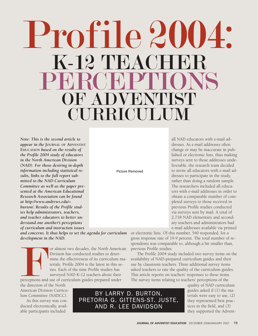# Profile 2004:  $K-12$  TEACH PERCEPTIONS OF ADVENTIST CURRICULUM

*Note: This is the second article to appear in the* **JOURNAL OF ADVENTIST EDUCATION** *based on the results of the Profile 2004 study of educators in the North American Division (NAD). For those desiring in-depth information including statistical results, links to the full report submitted to the NAD Curriculum Committee as well as the paper presented at the American Educational Research Association can be found at http://www.andrews.edu/~ burton/. Results of the Profile studies help administrators, teachers, and teacher educators to better understand one another's perceptions of curriculum and instruction issues*

Picture Removed

all NAD educators with e-mail addresses. As e-mail addresses often change or may be inaccurate in published or electronic lists, thus making surveys sent to those addresses undeliverable, the research team decided to invite all educators with e-mail addresses to participate in the study, rather than doing a random sample. The researchers included all educators with e-mail addresses in order to obtain a comparable number of completed surveys to those received in previous Profile studies conducted via surveys sent by mail. A total of 2,718 NAD elementary and secondary teachers and administrators had e-mail addresses available via printed

*and concerns. It thus helps to set the agenda for curriculum development in the NAD.*

For almost two decades, the North American<br>Division has conducted studies to deter-<br>mine the effectiveness of its curriculum ma-<br>terials. Profile 2004 is the latest in this se-<br>ries. Each of the nine Profile studies has<br>su Division has conducted studies to determine the effectiveness of its curriculum materials. Profile 2004 is the latest in this series. Each of the nine Profile studies has surveyed NAD K-12 teachers about their perceptions and use of curriculum guides prepared under

the direction of the North American Division Curriculum Committee (NADCC).

As this survey was conducted electronically, available participants included

BY LARRY D. BURTON, PRETORIA G. GITTENS-ST. JUSTE, AND R. LEE DAVIDSON

or electronic lists. Of this number, 540 responded, for a gross response rate of 19.9 percent. The total number of respondents was comparable to, although a bit smaller than, previous Profile studies.

The Profile 2004 study included two survey items on the availability of NAD-prepared curriculum guides and their use by classroom teachers. Three additional survey items asked teachers to rate the quality of the curriculum guides. This article reports on teachers' responses to these items. The survey items relating to teachers' perceptions of the

> quality of NAD curriculum guides asked if (1) the materials were easy to use, (2) they represented best practices in the field, and (3) they supported the Advent-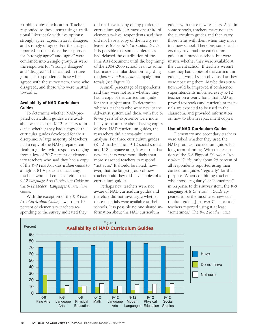ist philosophy of education. Teachers responded to these items using a traditional Likert scale with five options: strongly agree, agree, neutral, disagree, and strongly disagree. For the analysis reported in this article, the responses for "strongly agree" and "agree" were combined into a single group, as were the responses for "strongly disagree" and "disagree." This resulted in three groups of respondents: those who agreed with the survey item, those who disagreed, and those who were neutral toward it.

## Availability of NAD Curriculum Guides

To determine whether NAD-prepared curriculum guides were available, we asked the K-12 teachers to indicate whether they had a copy of the curricular guides developed for their discipline. A large majority of teachers had a copy of the NAD-prepared curriculum guides, with responses ranging from a low of 70.7 percent of elementary teachers who said they had a copy of the *K-8 Fine Arts Curriculum Guide* to a high of 81.4 percent of academy teachers who had copies of either the *9-12 Language Arts Curriculum Guide* or the *9-12 Modern Languages Curriculum Guide*.

With the exception of the *K-8 Fine Arts Curriculum Guide*, fewer than 10 percent of elementary teachers responding to the survey indicated they

did not have a copy of any particular curriculum guide. Almost one-third of elementary-level respondents said they did not have a copy of the newly released *K-8 Fine Arts Curriculum Guide*. It is possible that some conferences had delayed the distribution of the Fine Arts document until the beginning of the 2004-2005 school year, as some had made a similar decision regarding the *Journey to Excellence* campaign materials (see Figure 1).

A small percentage of respondents said they were not sure whether they had a copy of the curriculum guide for their subject area. To determine whether teachers who were new to the Adventist system and those with five or fewer years of experience were more likely to be unsure about having copies of these NAD curriculum guides, the researchers did a cross-tabulation analysis. For three curriculum guides (K-12 mathematics, 9-12 social studies, and K-8 language arts), it was true that new teachers were more likely than more seasoned teachers to respond "not sure." It should be noted, however, that the largest group of new teachers said they did have copies of all curriculum guides.

Perhaps new teachers were not aware of NAD curriculum guides and therefore did not investigate whether these materials were available at their schools. It is possible no one shared information about the NAD curriculum

guides with these new teachers. Also, in some schools, teachers make notes in the curriculum guides and then carry those items with them when they move to a new school. Therefore, some teachers may have had the curriculum guides at a previous school but were unsure whether they were available at the current school. If teachers weren't sure they had copies of the curriculum guides, it would seem obvious that they were not using them. Maybe this situation could be improved if conference superintendents informed every K-12 teacher on a yearly basis that NAD-approved textbooks and curriculum materials are expected to be used in the classroom, and provided information on how to obtain replacement copies.

## Use of NAD Curriculum Guides

Elementary and secondary teachers were asked whether they used the NAD-produced curriculum guides for long-term planning. With the exception of the *K-8 Physical Education Curriculum Guide*, only about 25 percent of all respondents reported using their curriculum guides "regularly" for this purpose. When combining teachers who chose "regularly" or "sometimes" in response to this survey item, the *K-8 Language Arts Curriculum Guide* appeared to be the most-used new curriculum guide. Just over 71 percent of teachers reported using it at least "sometimes." The *K-12 Mathematics*

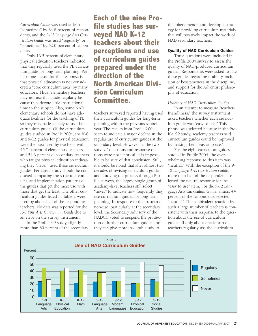*Curriculum Guide* was used at least "sometimes" by 64.8 percent of respondents, and the *9-12 Language Arts Curriculum Guide* was used "regularly" or "sometimes" by 62.0 percent of respondents.

Only 13.5 percent of elementary physical education teachers indicated that they regularly used the PE curriculum guide for long-term planning. Perhaps one reason for this response is that physical education is not considered a "core curriculum area" by many educators. Thus, elementary teachers may not use this guide regularly because they devote little instructional time to the subject. Also, some NAD elementary schools do not have adequate facilities for the teaching of PE, so they may be less likely to use the curriculum guide. Of the curriculum guides studied in Profile 2004, the K-8 and 9-12 guides for physical education were the least used by teachers, with 45.7 percent of elementary teachers and 54.3 percent of secondary teachers who taught physical education indicating they "never" used these curriculum guides. Perhaps a study should be conducted comparing the structure, content, and implementation patterns of the guides that get the most use with those that get the least. The other curriculum guides listed in Table 2 were used by about half of the responding teachers. No data was reported for the *K-8 Fine Arts Curriculum Guide* due to an error on the survey instrument.

In the Profile '99 study, slightly more than 60 percent of the secondary **Each of the nine Profile studies has surveyed NAD K-12 teachers about their perceptions and use of curriculum guides prepared under the direction of the North American Division Curriculum Committee.**

teachers surveyed reported having used their curriculum guides for long-term planning within the previous school year. The results from Profile 2004 seem to indicate a major decline in the regular use of curriculum guides at the secondary level. However, as the two surveys' questions and response options were not identical, it is impossible to be sure of that conclusion. Still, it should be noted that after almost two decades of revising curriculum guides and studying the process through Profile surveys, the largest single group of academy-level teachers still select "never" to indicate how frequently they use curriculum guides for long-term planning. In response to this pattern of non-use, particularly at the secondary level, the Secondary Advisory of the NADCC voted to suspend the production of further curriculum guides until they can give more in-depth study to

this phenomenon and develop a strategy for providing curriculum materials that will positively impact the work of NAD secondary teachers.

## Quality of NAD Curriculum Guides

Three questions were included in the Profile 2004 survey to assess the quality of NAD-produced curriculum guides. Respondents were asked to rate these guides regarding usability, inclusion of best practices in the discipline, and support for the Adventist philosophy of education.

## *Usability of NAD Curriculum Guides*

In an attempt to measure "teacherfriendliness," the survey instrument asked teachers whether each curriculum guide was "easy to use." This phrase was selected because in the Profile '99 study, academy teachers said curriculum guides could be improved by making them "easier to use."

For the eight curriculum guides studied in Profile 2004, the overwhelming response to this item was "neutral." With the exception of the *9- 12 Language Arts Curriculum Guide*, more than half of the respondents selected the neutral response for the "easy to use" item. For the *9-12 Language Arts Curriculum Guide*, almost 44 percent of the respondents selected "neutral." This ambivalent reaction by such a large number of teachers is consistent with their response to the question about the use of curriculum guides. If only about one-fourth of teachers regularly use the curriculum

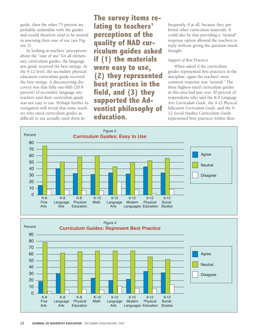guide, then the other 75 percent are probably unfamiliar with the guides and would therefore tend to be neutral in assessing their ease of use (see Figure 3).

In looking at teachers' perceptions about the "ease of use" for all elementary curriculum guides, the language arts guide received the best ratings. At the 9-12 level, the secondary physical education curriculum guide received the best ratings. A disconcerting discovery was that fully one-fifth (20.8 percent) of secondary language arts teachers said their curriculum guide was not easy to use. Perhaps further investigation will reveal that some teachers who rated curriculum guides as difficult to use actually used them in**The survey items relating to teachers' perceptions of the quality of NAD curriculum guides asked if (1) the materials were easy to use, (2) they represented best practices in the field, and (3) they supported the Adventist philosophy of education.**

frequently, if at all, because they preferred other curriculum materials. It could also be that providing a "neutral" response option allowed the teachers to reply without giving the question much thought.

## *Support of Best Practices*

When asked if the curriculum guides represented best practices in the discipline, again the teachers' most common response was "neutral." The three highest-rated curriculum guides in this area had just over 30 percent of respondents who said the *K-8 Language Arts Curriculum Guide*, the *9-12 Physical Education Curriculum Guide*, and the 9- 12 Social Studies Curriculum Guide represented best practices within their



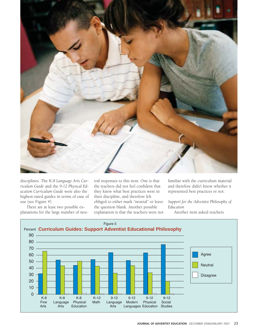

disciplines. The *K-8 Language Arts Curriculum Guide* and the *9-12 Physical Education Curriculum Guide* were also the highest-rated guides in terms of ease of use (see Figure 4).

There are at least two possible explanations for the large number of neutral responses to this item. One is that the teachers did not feel confident that they knew what best practices were in their discipline, and therefore felt obliged to either mark "neutral" or leave the question blank. Another possible explanation is that the teachers were not familiar with the curriculum material and therefore didn't know whether it represented best practices or not.

*Support for the Adventist Philosophy of Education*

Another item asked teachers

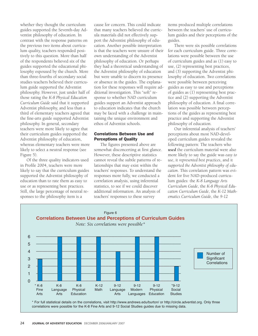whether they thought the curriculum guides supported the Seventh-day Adventist philosophy of education. In contrast with the response patterns on the previous two items about curriculum quality, teachers responded positively to this question. More than half of the respondents believed six of the guides supported the educational philosophy espoused by the church. More than three-fourths of secondary social studies teachers believed their curriculum guide supported the Adventist philosophy. However, just under half of those rating the *K-8 Physical Education Curriculum Guide* said that it supported Adventist philosophy, and less than a third of elementary teachers agreed that the fine-arts guide supported Adventist philosophy. In general, secondary teachers were more likely to agree that their curriculum guides supported the Adventist philosophy of education, whereas elementary teachers were more likely to select a neutral response (see Figure 5).

Of the three quality indicators used in Profile 2004, teachers were more likely to say that the curriculum guides supported the Adventist philosophy of education than to rate them as easy to use or as representing best practices. Still, the large percentage of neutral responses to the philosophy item is a

cause for concern. This could indicate that many teachers believed the curricula materials did not effectively support the Adventist philosophy of education. Another possible interpretation is that the teachers were unsure of their own understanding of the Adventist philosophy of education. Or perhaps they had a theoretical understanding of the Adventist philosophy of education but were unable to discern its presence or absence in the guides. The explanation for these responses will require additional investigation. This "soft" response to whether NAD curriculum guides support an Adventist approach to education indicates that the church may be faced with a challenge in maintaining the unique environment and ethos of Adventist schools.

## Correlations Between Use and Perceptions of Quality

The figures presented above are somewhat disconcerting at first glance. However, these descriptive statistics cannot reveal the subtle patterns of relationships that may exist within the teachers' responses. To understand the responses more fully, we conducted a correlation analysis, using inferential statistics, to see if we could discover additional information. An analysis of teachers' responses to these survey

items produced multiple correlations between the teachers' use of curriculum guides and their perceptions of the guides.

There were six possible correlations for each curriculum guide. Three correlations were possible between the use of curriculum guides and as (1) easy to use, (2) representing best practices, and (3) supporting the Adventist philosophy of education. Two correlations were possible between perceiving guides as easy to use and perceptions of guides as (1) representing best practice and (2) supporting the Adventist philosophy of education. A final correlation was possible between perceptions of the guides as representing best practice and supporting the Adventist philosophy of education.

Our inferential analysis of teachers' perceptions about most NAD-developed curriculum guides revealed the following pattern: The teachers who *used* the curriculum material were also more likely to say the guide was *easy to use*, it *represented best practices*, and it *supported the Adventist philosophy of education*. This correlation pattern was evident for five NAD-produced curriculum guides: the *K-8 Language Arts Curriculum Guide*, the *K-8 Physical Education Curriculum Guide*, the *K-12 Mathematics Curriculum Guide*, the *9-12*

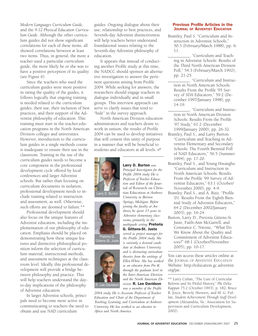*Modern Languages Curriculum Guide*, and the *9-12 Physical Education Curriculum Guide*. Although the other curriculum guides did not show significant correlations for each of these items, all showed correlations between at least two items. Thus, in general, the more a teacher used a particular curriculum guide, the more likely he or she was to have a positive perception of its quality (see Figure 6).

Since the teachers who used the curriculum guides were more positive in rating the quality of the guides, it follows logically that ongoing training is needed related to the curriculum guides, their use, their inclusion of best practices, and their support of the Adventist philosophy of education. This training must start in the teacher-education programs in the North American Division colleges and universities. However, introduction to the curriculum guides in a single methods course is inadequate to ensure their use in the classroom. Training in the use of the curriculum guides needs to become a core component in the professional development cycle offered by local conferences and larger Adventist schools. But rather than focusing on curriculum documents in isolation, professional development needs to include training related to instruction and assessment, as well. Otherwise, such efforts are doomed to failure.\*\*

Professional development should also focus on the unique features of Adventist education, including the implementation of our philosophy of education. Emphasis should be placed on demonstrating how these unique features and distinctive philosophical position inform the selection of curriculum material, instructional methods, and assessment techniques at the classroom level. Ideally, this professional development will provide a bridge between philosophy and practice. This will help teachers understand the dayto-day implications of the philosophy of Adventist education.

In larger Adventist schools, principals need to become more active in communicating to teachers the need to obtain and use NAD curriculum

guides. Ongoing dialogue about their use, relationship to best practices, and Seventh-day Adventist distinctiveness will help teachers better understand foundational issues relating to the Seventh-day Adventist philosophy of education.

It appears that instead of conducting another Profile study at this time, the NADCC should sponsor an alternative investigation to answer the pertinent questions arising from Profile 2004. While seeking for answers, the researchers should engage teachers in dialogue individually and in small groups. This interview approach can serve to clarify issues that tend to "hide" in the survey approach.

North American Division education administrators and teachers desire to work in unison; the results of Profile 2004 can be used to develop initiatives that will cement this unity of purpose in a manner that will be beneficial to students and educators at all levels. Ø

\_\_\_\_\_\_\_\_\_\_\_\_\_\_\_\_\_\_

Larry D. Burton *was Principal Investigator for the Profile 2004 study. He is Professor of Teacher Education and Editor of the* Journal of Research on Christian Education *at Andrews University in Berrien Springs, Michigan. Before joining the faculty at Andrews, he spent 13 years in Adventist elementary classrooms, primarily in the multigrade setting.* Pretoria G. Gittens-St. Juste *served as project manager for the Profile 2004 study. She is currently a doctoral candidate at Andrews University and is abstracting curriculum theories from the writings of Ellen White. She has worked as an educator from Pre-K through the graduate level in the Inter-American Division and the North American Division.* R. Lee Davidson





Gittens-St. Juste



*was a member of the Profile 2004 study. He is Associate Professor of Teacher Education and Chair of the Department of Teaching, Learning, and Curriculum at Andrews University. He has worked as an educator in Africa and North America.*

#### Previous Profile Articles in the JOURNAL OF ADVENTIST EDUCATION

- Brantley, Paul S. "Curriculum and Instruction in Adventist Schools," 50:3 (February/March 1988), pp. 6- 11.
	- \_\_\_\_\_\_\_\_\_\_. "Curriculum and Teaching in Adventist Schools: Results of the Third North American Division Poll," 54:3 (February/March 1992), pp. 21-25.
	- \_\_\_\_\_\_\_\_\_\_. "Curriculum and Instruction in North American Schools: Results From the Profile '95 Survey of SDA Educators," 59:2 (December 1997/January 1998), pp. 14-19.
	- \_\_\_\_\_\_\_\_\_\_. "Curriculum and Instruction in North American Division Schools: Results From the Profile '97 Study," 61:2 (December 1999/January 2000), pp. 26-32.
- Brantley, Paul S., and Larry Burton. "Curriculum and Teaching in Adventist Elementary and Secondary Schools: The Fourth Biennial Poll of NAD Educators," 56:5 (Summer 1994), pp. 17-20.
- Brantley, Paul S., and Young Hwangbo. "Curriculum and Instruction in North American Schools: Results From the Profile '99 Survey of Adventist Educators," 63:1 (October/ November 2000), pp. 4-9.
- Brantley, Paul S., and A. Ruiz. "Profile '01: Results From the Eighth Biennial Study of Adventist Educators," 64:2 (December 2002/January 2003), pp. 16-24.
- Burton, Larry D., Pretoria Gittens-St. Juste, Faith-Ann McGarrell, and Constance C. Nwosu, "What Do We Know About the Quality and Commitment of Adventist Educators?" 68:1 (October/November 2005), pp. 10-17.

You can access these articles online at the JOURNAL OF ADVENTIST EDUCATION Website: http://education.gc.adventist. org/jae. \_\_\_\_\_\_\_\_\_\_\_\_\_\_\_\_\_\_\_\_\_\_\_\_\_\_\_\_\_\_\_

\*\* Larry Cuban, "The Lure of Curricular Reform and Its Pitiful History," *Phi Delta Kappan* 75:2 (October 1993), p. 182; Bruce R. Joyce, Beverly Showers, and M. G. Fullan, *Student Achievement Through Staff Development* (Alexandria, Va.: Association for Supervision and Curriculum Development, 2002).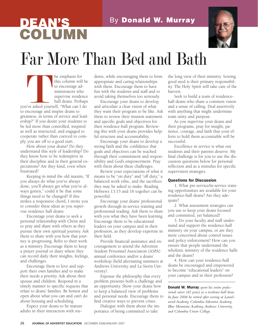## **DEAN'S** By Donald W. Murray **COLUMN**



# Far More Than Bed and Bath

this column will<br>to encourage ad ministrators when<br>supervise reside hall deans. Perh<br>is a sked yourself, "What can I<br>ncourage and inspire deans to this column will be to encourage administrators who supervise residence hall deans. Perhaps you've asked yourself, "What can I do to encourage and inspire deans to greatness, in terms of service and leadership?" If you desire your students to be led more than controlled, inspired as well as instructed, and engaged to cooperate rather than coerced to comply, you are off to a good start.

How about your deans? Do they understand this style of leadership? Do they know how to be redemptive in their discipline and in their general expectations? Are they kind, even when frustrated?

Keeping in mind the old maxim, "If you always do what you've always done, you'll always get what you've always gotten," could it be that some things need to be changed? If this strikes a responsive chord, I invite you to consider these ideas as you supervise residence hall deans:

Encourage your deans to seek a personal relationship with Christ and to pray and share with others as they pursue their own spiritual journey. Ask them to share with you how that journey is progressing. Refer to their work as a ministry. Encourage them to keep a prayer journal or diary where they can record daily their insights, feelings, and challenges.

Encourage them to love and support their own families and to make their needs a priority. Ask about their spouse and children. Respond in a timely manner to specific requests that relate to deans' families. Be honest and open about what you can and can't do about housing and scheduling.

Expect your deans to be mature adults in their interaction with students, while encouraging them to form appropriate and caring relationships with them. Encourage them to have fun with the students and staff and to avoid taking themselves too seriously.

Encourage your deans to develop and articulate a clear vision of what they want their program to be like. Ask them to review their mission statement and specific goals and objectives for their residence-hall program. Reviewing this with your deans provides helpful structure and accountability.

Encourage your deans to develop a strong faith and the confidence that goals and objectives can be reached through their commitment and responsibility and God's empowerment. Pray with them about these challenges.

Review your expectations of what it means to be "on duty" and "off duty," a balanced work ethic, and the sacrifices they may be asked to make. Reading Hebrews 13:15 and 16 together can be powerful.

Encourage your deans' professional growth through in-service training and professional reading. Ask them to share with you what they have been learning. Encourage them to be educational leaders on your campus and in their profession, as they develop expertise in their field.

Provide financial assistance and encouragement to attend the Adventist Student Personnel Association (ASPA) annual conference and/or a deans' workshop (held alternating summers at Andrews University and La Sierra University).

Espouse the philosophy that every problem presents both a challenge and an opportunity. Show your deans how to keep a balanced view of problems and personal needs. Encourage them to find creative ways to prevent crises.

Dialogue with them about the importance of being committed to take

the long view of their ministry. Sowing good seed is their primary responsibility. The Holy Spirit will take care of the harvest.

Seek to build a team of residencehall deans who share a common vision and a sense of calling. Deal assertively with anything that might undermine team unity and purpose.

As you supervise your deans and their programs, pray for insight, patience, courage, and faith that your efforts to hold them accountable will be successful.

Excellence in service is what our students and their parents deserve. My final challenge is for you to use the discussion questions below for personal reflection and as a stimulus for specific supervision strategies.

## Questions for Discussion

1. What pre-service/in-service training opportunities are available for your residence-hall deans? Are they adequate?

2. What assessment strategies can you use to keep your deans focused and committed, yet balanced?

3. Do your faculty and staff understand and support the residence-hall ministry on your campus, or are they more concerned about control issues and policy enforcement? How can you ensure that people understand the wholistic ministry of the residence halls and the deans?

4. How can your residence-hall deans be encouraged and empowered to become "educational leaders" on your campus and in their profession?

\_\_\_\_\_\_\_\_\_\_\_\_\_\_\_\_\_\_\_\_\_\_\_\_\_\_\_\_\_\_\_

Donald W. Murray *spent his entire professional career (42 years) as a residence-hall dean. In June 2006 he retired after serving at Laurelwood Academy, Columbia Adventist Academy, Blue Mountain Academy,Andrews University, and Columbia Union College.*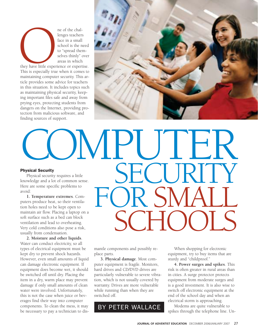ne of the chal-<br>lenges teachers<br>face in a small<br>school is the n<br>to "spread then<br>selves thinly" areas in which<br>they have little experience or expert<br>This is especially true when it come<br>maintaining computer couring. This lenges teachers face in a small school is the need to "spread themselves thinly" over areas in which

they have little experience or expertise. This is especially true when it comes to maintaining computer security. This article provides some advice for teachers in this situation. It includes topics such as maintaining physical security, keeping important files safe and away from prying eyes, protecting students from dangers on the Internet, providing protection from malicious software, and finding sources of support.



## COMPUTER **SECURITY** FOR SMALL SCHOOLS Physical Security Physical security requires a little knowledge and a lot of common sense. Here are some specific problems to avoid: **1. Temperature extremes**. Computers produce heat, so their ventilation holes need to be kept open to maintain air flow. Placing a laptop on a soft surface such as a bed can block ventilation and lead to overheating. Very cold conditions also pose a risk,

usually from condensation. **2. Moisture and other liquids**. Water can conduct electricity, so all types of electrical equipment must be kept dry to prevent shock hazards. However, even small amounts of liquid can damage electronic equipment. If equipment does become wet, it should be switched off until dry. Placing the item in a dry, warm place may prevent damage if only small amounts of clean water were involved. Unfortunately, this is not the case when juice or beverages find their way into computer components. To clean the mess, it may be necessary to pay a technician to dis-

mantle components and possibly replace parts.

**3. Physical damage**. Most computer equipment is fragile. Monitors, hard drives and CD/DVD drives are particularly vulnerable to severe vibration, which is not usually covered by warranty. Drives are more vulnerable while running than when they are switched off.

BY PETER WALLACE

When shopping for electronic equipment, try to buy items that are sturdy and "childproof."

**4. Power surges and spikes**. This risk is often greater in rural areas than in cities. A surge protector protects equipment from moderate surges and is a good investment. It is also wise to switch off electronic equipment at the end of the school day and when an electrical storm is approaching.

Modems are quite vulnerable to spikes through the telephone line. Un-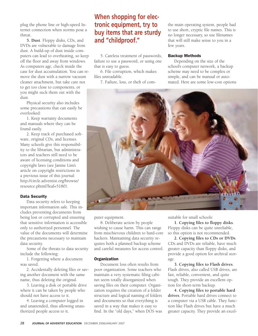plug the phone line or high-speed Internet connection when storms pose a threat.

**5. Dust**. Floppy disks, CDs, and DVDs are vulnerable to damage from dust. A build-up of dust inside computers can lead to overheating, so keep off the floor and away from windows. As computers age, check inside the case for dust accumulation. You can remove the dust with a narrow vacuum cleaner attachment, but take care not to get too close to components, or you might suck them out with the dust.

Physical security also includes some precautions that can easily be overlooked:

1. Keep warranty documents and manuals where they can be found easily.

2. Keep track of purchased software, original CDs, and licenses. Many schools give this responsibility to the librarian, but administrators and teachers still need to be aware of licensing conditions and copyright laws (see Janine Lim's article on copyright restrictions in a previous issue of this journal: http://circle.adventist.org/browse/ resource.phtml?leaf=5180).

## Data Security

Data security refers to keeping important information safe. This includes preventing documents from being lost or corrupted and ensuring that sensitive information is accessible only to authorized personnel. The value of the documents will determine the precautions necessary to maintain data security.

Some of the threats to data security include the following:

1. Forgetting where a document was saved.

2. Accidentally deleting files or saving another document with the same name, thus deleting the original.

3. Leaving a disk or portable drive where it can be taken by people who should not have access to it.

4. Leaving a computer logged in and unattended, thus allowing unauthorized people access to it.

## **When shopping for electronic equipment, try to buy items that are sturdy and "childproof."**

5. Careless treatment of passwords, failure to use a password, or using one that is easy to guess.

6. File corruption, which makes files unreadable.

7. Failure, loss, or theft of com-

the main operating system, people had to use short, cryptic file names. This is no longer necessary, so use filenames that will still make sense to you in a few years.

## Backup Methods

Depending on the size of the school's computer network, a backup scheme may need to be complex or simple, and can be manual or automated. Here are some low-cost options



puter equipment.

8. Deliberate action by people wishing to cause harm. This can range from mischievous children to hard-core hackers. Maintaining data security requires both a planned backup scheme and careful measures for access control.

## **Organization**

Document loss often results from poor organization. Some teachers who maintain a very systematic filing cabinet seem totally disorganized when saving files on their computer. Organization requires the creation of a folder structure and logical naming of folders and documents so that everything is saved in a way that makes it easy to find. In the "old days," when DOS was suitable for small schools:

**1. Copying files to floppy disks**. Floppy disks can be quite unreliable, so this option is not recommended.

**2. Copying files to CDs or DVDs**. CDs and DVDs are reliable, have much greater capacity than floppy disks, and provide a good option for archival storage.

**3. Copying files to Flash drives**. Flash drives, also called USB drives, are fast, reliable, convenient, and quite tough. They provide an excellent option for short-term backup.

**4. Copying files to portable hard drives**. Portable hard drives connect to a computer via a USB cable. They function like Flash drives but have a much greater capacity. They provide an excel-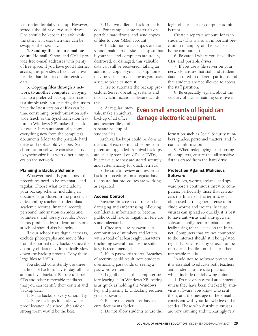lent option for daily backup. However, schools should have two such drives. One should be kept in the safe while the other is in use, then they can be swapped the next day.

**5. Sending files to an e-mail account**. Hotmail, Yahoo, and GMail provide free e-mail addresses with plenty of free space. If you have good Internet access, this provides a free alternative for files that do not contain sensitive data.

**6. Copying files through a network to another computer**. Copying files to a preferred backup destination is a simple task, but ensuring that users have the latest version of files can be time consuming. Synchronization software (such as the Synchronization feature in Windows XP) makes this task a lot easier. It can automatically copy everything new from the computer's documents folder to the portable hard drive and replace old versions. Synchronization software can also be used to synchronize files with other computers on the network.

## Planning a Backup Scheme

Whatever methods you choose, the procedures need to be systematic and regular. Choose what to include in your backup scheme, including all documents produced in the principal's office and by teachers, student data, academic records, financial records, personnel information on aides and volunteers, and library records. Documents produced by students and stored at school should also be included.

If your school uses digital cameras, exclude photographs and movie files from the normal daily backup since the quantity of data may dramatically slow down the backup process. Copy these large files to DVDs.

You should consistently use three methods of backup: day-to-day, off-site, and archival backup. Be sure to label CDs and other removable media so that you can identify their content and backup date.

1. Make backups every school day.

2. Store backups in a safe, waterproof location. At school, the safe or strong room would be the best.

3. Use two different backup methods. For example, store materials on portable hard drives, and send copies of files to your GMail account.

4. In addition to backups stored at school, maintain off-site backup so that if your safe and computers are stolen, destroyed, or damaged, this valuable data can still be recovered. Taking an additional copy of your backup home may be satisfactory as long as you have a secure place to store it.

5. Try to automate the backup procedure. Server operating systems and most synchronization software can do this.

6. At regular intervals, make an archival backup of all office and teacher files and a separate backup of student files.

Archival backups could be done at the end of each term and before computers are upgraded. Archival backups are usually stored on CDs or DVDs, but make sure they are stored securely and systematically for quick retrieval.

7. Be sure to review and test your backup procedures on a regular basis to ensure that procedures are working as expected.

## Access Control

Breaches in access control can be damaging and embarrassing. Allowing confidential information to become public could lead to litigation. Here are some safeguards:

1. Choose secure passwords. A combination of numbers and letters with a total of at least eight characters (including several that use the shift key) is recommended.

2. Keep passwords secret. Breaches of security could result from students' overhearing passwords or seeing a password written.

3. Log off or lock the computer before leaving it. In Windows XP, locking is as quick as holding the Windows key and pressing L. Unlocking requires your password.

4. Ensure that each user has a secure documents folder.

5. Do not allow students to use the

login of a teacher or computer administrator.

Create a separate account for each student. (This is also an important precaution to employ on the teachers' home computers.)

6. Be careful where you leave disks, CDs, and portable drives.

7. If you use a file server on your network, ensure that staff and student data is stored in different partitions and that students are not allowed to access the staff partition.

8. Be especially vigilant about the security of files containing sensitive in-

## **Even small amounts of liquid can damage electronic equipment.**

formation such as Social Security numbers, grades, personnel matters, and financial information.

9. When redeploying or disposing of computers, ensure that all sensitive data is erased from the hard drive.

## Protection Against Malicious **Software**

Viruses, worms, trojans, and spyware pose a continuous threat to computers, particularly those that can access the Internet. The term *virus* is often used in the generic sense to include worms and trojans. Because viruses can spread so quickly, it is best to have anti-virus and anti-spyware software configured to update automatically using reliable sites on the Internet. Computers that are not connected to the Internet should still be updated regularly because many viruses can be transferred by files on disks or other removable media.

In addition to software protection, it is essential to educate both teachers and students to use safe practices which include the following points:

1. Do not open e-mail attachments unless they have been checked by antivirus software, you know who sent them, and the message of the e-mail is consistent with your knowledge of the sender. Those who distribute viruses are very cunning and increasingly rely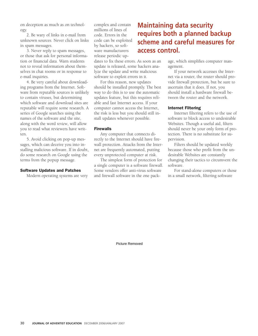on deception as much as on technology.

2. Be wary of links in e-mail from unknown sources. Never click on links in spam messages.

3. Never reply to spam messages, or those that ask for personal information or financial data. Warn students not to reveal information about themselves in chat rooms or in response to e-mail inquiries.

4. Be very careful about downloading programs from the Internet. Software from reputable sources is unlikely to contain viruses, but determining which software and download sites are reputable will require some research. A series of Google searches using the names of the software and the site, along with the word *review*, will allow you to read what reviewers have written.

5. Avoid clicking on pop-up messages, which can deceive you into installing malicious software. If in doubt, do some research on Google using the terms from the popup message.

## Software Updates and Patches

Modern operating systems are very

complex and contain millions of lines of code. Errors in the code can be exploited by hackers, so software manufacturers release periodic up-

dates to fix these errors. As soon as an update is released, some hackers analyze the update and write malicious software to exploit errors in it.

For this reason, new updates should be installed promptly. The best way to do this is to use the automatic updates feature, but this requires reliable and fast Internet access. If your computer cannot access the Internet, the risk is less but you should still install updates whenever possible.

#### Firewalls

Any computer that connects directly to the Internet should have firewall protection. Attacks from the Internet are frequently automated, putting every unprotected computer at risk.

The simplest form of protection for a single computer is a software firewall. Some vendors offer anti-virus software and firewall software in the one pack-

## **Maintaining data security requires both a planned backup scheme and careful measures for access control.**

age, which simplifies computer management.

If your network accesses the Internet via a router, the router should provide firewall protection, but be sure to ascertain that it does. If not, you should install a hardware firewall between the router and the network.

## Internet Filtering

Internet filtering refers to the use of software to block access to undesirable Websites. Though a useful aid, filters should never be your only form of protection. There is no substitute for supervision.

Filters should be updated weekly because those who profit from the undesirable Websites are constantly changing their tactics to circumvent the software.

For stand-alone computers or those in a small network, filtering software

Picture Removed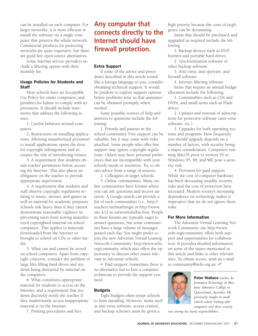can be installed on each computer. For larger networks, it is more efficient to install the software on a single computer that protects the whole network. Commercial products for protecting networks are quite expensive, but there are good free open-source alternatives.

Some Internet service providers include a filtering option with their monthly fee.

## Usage Policies for Students and **Staff**

Most schools have an Acceptable Use Policy for onsite computers, and penalties for failure to comply with its provisions. It should include statements that address the following issues:.

1. Careful behavior around computers.

2. Restrictions on installing applications. Allowing unauthorized personnel to install applications opens the door for copyright infringement and increases the risk of introducing viruses.

3. A requirement that students obtain teacher permission before accessing the Internet. This also places an obligation on the teacher to provide appropriate supervision.

4. A requirement that students and staff observe copyright regulations relating to music, movies, and games as well as material for academic purposes. Schools risk heavy fines if they cannot demonstrate reasonable vigilance in preventing users from storing unauthorized copyrighted material on school computers. This applies to materials downloaded from the Internet or brought to school on CDs or other media.

5. What can and cannot be stored on school computers. Apart from copyright concerns, consider the problem of large files filling hard drives and students being distracted by material on the computers.

6. What constitutes appropriate material for students to access on the Internet, and a requirement that students discreetly notify the teacher if they inadvertently access inappropriate material is on the Internet.

7. Printing procedures and fees.

## **Any computer that connects directly to the Internet should have firewall protection.**

## Extra Support

If some of the advice and procedures described in this article sound like a foreign language to you, consider obtaining technical support. It would be prudent to explore support options before problems arise so that assistance can be obtained promptly when needed.

Some possible sources of help and answers to questions include the following:

1. Friends and parents in the school community. Free support can be valuable, but it may come with risks attached. Some people who offer free support may ignore copyright regulations. Others may have personal preferences that are incompatible with your school's needs or resources. Try to obtain advice from a range of sources.

2. Colleagues in larger schools.

3. Online communities. Many online communities have forums where you can ask questions and receive answers. A Google search can provide a list of such communities (i.e., http:// teachers.net/mailrings/ or http://www. siec.k12.in.us/west/edu/list.htm. People in these forums are typically eager to answer questions, but some communities have a large volume of messages posted each day. You might prefer to join the new Adventist Virtual Leaning Network Community: http://www.avln. org/commuity, which also offers the opportunity to discuss other issues relevant to Adventist schools.

4. Paid support. Sometimes there is no alternative but to hire a computer technician to provide the support you need.

## **Budgets**

Tight budgets often tempt schools to limit spending. However, items such as anti-virus software, access control, and backup schemes must be given a

high priority because the costs of negligence can be devastating.

Items that should be purchased and upgraded as required include the following.

1. Backup devices such as DVD burners and portable hard drives.

2. Synchronization software or other backup software.

3. Anti-virus, anti-spyware, and firewall software.

4. Internet filtering software.

Items that require an annual budget allocation include the following:

1. Consumables such as CDs and DVDs, and small items such as Flash drives.

2. Updates and renewal of subscriptions for protective software (anti-virus software, etc.).

3. Upgrades for both operating systems and programs. How frequently you should upgrade depends on a number of factors, with security being a major consideration. Computers running MacOS prior to version 10 or Windows 95, 98, and ME pose a security risk.

4. Provision for paid support. While the cost of computer hardware has been decreasing steadily, security risks and the cost of protection have increased. Modern society's increasing dependence on technology makes it imperative that we do not ignore these risks.

## For More Information

The Adventist Virtual Learning Network Community site http://www. avln.org/community offers both support and opportunities for collaboration. It provides detailed information on some of the issues mentioned in this article and links to other relevant sites. To obtain access, send an e-mail to community@avln.org.au.



Peter Wallace *teaches Information Technology at Brisbane Adventist College in Queensland,Australia. He previously taught in small schools where looking after computers and their security*

\_\_\_\_\_\_\_\_\_\_\_\_\_\_\_\_\_\_\_

*was among his many responsibilities.*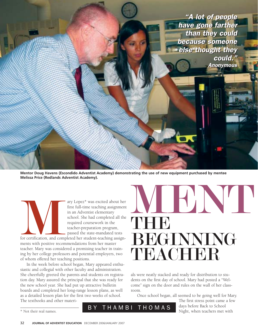"A lot of people "A lot of people have gone farther have gone farther than they could than they could because someone because someone else thought they else thought they could." could." Anonymous Anonymous

**Mentor Doug Havens (Escondido Adventist Academy) demonstrating the use of new equipment purchased by mentee Melissa Price (Redlands Adventist Academy).**

ary Lopez\* was excited about her<br>first full-time teaching assignment<br>in an Adventist elementary<br>school. She had completed all the<br>required coursework in the<br>teacher-preparation program,<br>passed the state-mandated tests<br>for first full-time teaching assignment in an Adventist elementary school. She had completed all the required coursework in the teacher-preparation program, passed the state-mandated tests

for certification, and completed her student-teaching assignments with positive recommendations from her master teacher. Mary was considered a promising teacher in training by her college professors and potential employers, two of whom offered her teaching positions.

In the week before school began, Mary appeared enthusiastic and collegial with other faculty and administration. She cheerfully greeted the parents and students on registration day. Mary assured the principal that she was ready for the new school year. She had put up attractive bulletin boards and completed her long-range lesson plans, as well as a detailed lesson plan for the first two weeks of school. The textbooks and other materi-



als were neatly stacked and ready for distribution to students on the first day of school. Mary had posted a "Welcome" sign on the door and rules on the wall of her classroom.

Once school began, all seemed to be going well for Mary.

The first stress point came a few days before Back to School

\* Not their real names.

 $\mathsf{B} \mathsf{Y}$  THAMBI THOMAS  $\begin{array}{c} \text{days before Back to School} \\ \text{Right, when teachers met with} \end{array}$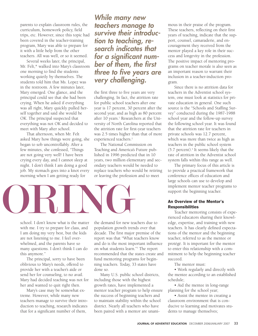parents to explain classroom rules, the curriculum, homework policy, field trips, etc. However, since this topic had been covered in the teacher-training program, Mary was able to prepare for it with a little help from the other teachers. All was well, or so it seemed.

Several weeks later, the principal, Mr. Felt,\* walked into Mary's classroom one morning to find the students working quietly by themselves. The students told him that Ms. Lopez was in the restroom. A few minutes later, Mary emerged. One glance, and the principal could see that she had been crying. When he asked if everything was all right, Mary quickly pulled herself together and said she would be OK. The principal suspected that everything was not OK and decided to meet with Mary after school.

That afternoon, when Mr. Felt asked Mary how things were going, she began to sob uncontrollably. After a few minutes, she confessed, "Things are not going very well! I have been crying every day, and I cannot sleep at night. I don't think I am doing a good job. My stomach goes into a knot every morning when I am getting ready for

**While many new teachers manage to survive their introduction to teaching, research indicates that for a significant number of them, the first three to five years are very challenging.**

the first three to five years are very challenging. In fact, the attrition rate for public school teachers after one year is 17 percent, 30 percent after the second year, and as high as 80 percent after 10 years.<sup>1</sup> Researchers at the University of North Carolina reported that the attrition rate for first-year teachers was 2.5 times higher than that of more experienced teachers.<sup>2</sup>

The National Commission on Teaching and America's Future published in 1996 predicted that in 10 years, two million elementary and secondary teachers would be needed to replace teachers who would be retiring or leaving the profession and to meet



school. I don't know what is the matter with me. I try to prepare for class, and I am doing my very best, but the kids are not listening to me. I feel overwhelmed, and the parents have so many questions. I don't think I can do this anymore."

The principal, sorry to have been oblivious to Mary's needs, offered to provide her with a teacher's aide or send her for counseling, to no avail. Mary had decided teaching was not for her and wanted to quit right then.

Mary's case may be somewhat extreme. However, while many new teachers manage to survive their introduction to teaching, research indicates that for a significant number of them,

the demand for new teachers due to population growth trends over that decade. The first major premise of the report was that "What teachers know and do is the most important influence on what students learn."3 The report recommended that the states create and fund mentoring programs for beginning teachers. Today, 33 states have done so.

Many U.S. public school districts, including those with the highest growth rates, have implemented a mentor teacher program to help ensure the success of beginning teachers and to maintain stability within the school district. Nearly all teachers who have been paired with a mentor are unanimous in their praise of the program. These teachers, reflecting on their first years of teaching, indicate that the support, counsel, camaraderie, and encouragement they received from the mentor played a key role in their success and longevity in the profession. The positive impact of mentoring programs on teacher morale is also seen as an important reason to warrant their inclusion in a teacher-induction program.

Since there is no attrition data for teachers in the Adventist school system, one must look at statistics for private education in general. One such source is the "Schools and Staffing Survey" conducted during the 1987-1988 school year and the follow-up survey the following school year. It was found that the attrition rate for teachers in private schools was 12.7 percent, which was more than twice as high as teachers in the public school system  $(5.7$  percent).<sup>4</sup> It seems likely that the rate of attrition in the Adventist school system falls within this range as well.

The primary focus of this article is to provide a practical framework that conference offices of education and large schools can use to develop and implement mentor teacher programs to support the beginning teacher.

## An Overview of the Mentor's Responsibilities

Teacher mentoring consists of experienced educators sharing their knowledge, expertise, and training with new teachers. It has clearly defined expectations of the mentor and the beginning teacher, referred to as the mentee or protégé. It is important for the mentor to enter this relationship with a commitment to help the beginning teacher succeed.

The mentor must:

• Work regularly and directly with the mentee according to an established schedule;

• Aid the mentee in long-range planning for the school year;

• Assist the mentee in creating a classroom environment that is conducive to learning and motivates students to manage themselves;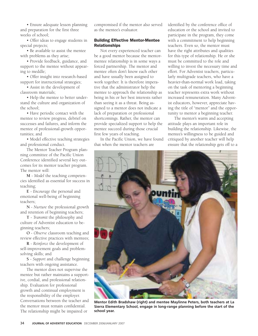• Ensure adequate lesson planning and preparation for the first three weeks of school;

• Offer ideas to engage students in special projects;

• Be available to assist the mentee with problems as they arise;

• Provide feedback, guidance, and support to the mentee without appearing to meddle;

• Offer insight into research-based support for instructional strategies;

• Assist in the development of classroom materials;

• Help the mentee to better understand the culture and organization of the school;

• Have periodic contact with the mentee to review progress, debrief on successes and failures, and inform the mentee of professional-growth opportunities; and

• Model effective teaching strategies and professional conduct.

The Mentor Teacher Program planning committee of the Pacific Union Conference identified several key outcomes for its mentor teacher program. The mentor will:

**M** - *Model* the teaching competencies identified as essential for success in teaching;

**E** - *Encourage* the personal and emotional well-being of beginning teachers;

**N** - *Nurture* the professional growth and retention of beginning teachers;

**T** - *Transmit* the philosophy and culture of Adventist education to beginning teachers;

**O** - *Observe* classroom teaching and review effective practices with mentees;

**R** - *Reinforce* the development of self-improvement goals and problemsolving skills; and

**S** - *Support* and challenge beginning teachers with ongoing assistance.

The mentor does not supervise the mentee but rather maintains a supportive, cordial, and professional relationship. Evaluation for professional growth and continual employment is the responsibility of the employer. Conversations between the teacher and the mentor must remain confidential. The relationship might be impaired or

compromised if the mentor also served as the mentee's evaluator.

## Building Effective Mentor-Mentee Relationships

Not every experienced teacher can be a good mentor because the mentormentee relationship is in some ways a forced partnership. The mentor and mentee often don't know each other and have usually been assigned to work together. It is therefore imperative that the administrator help the mentee to approach the relationship as being in his or her best interests rather than seeing it as a threat. Being assigned to a mentor does not indicate a lack of preparation or professional shortcomings. Rather, the mentor can provide specialized support to help the mentee succeed during those crucial first few years of teaching.

In the Pacific Union, we have found that when the mentor teachers are

identified by the conference office of education or the school and invited to participate in the program, they come with a commitment to help beginning teachers. Even so, the mentor must have the right attributes and qualities for this type of relationship. He or she must be committed to the role and willing to invest the necessary time and effort. For Adventist teachers, particularly multigrade teachers, who have a heavier-than-normal work load, taking on the task of mentoring a beginning teacher represents extra work without increased remuneration. Many Adventist educators, however, appreciate having the title of "mentor" and the opportunity to mentor a beginning teacher.

The mentor's warm and accepting attitude plays an important role in building the relationship. Likewise, the mentee's willingness to be guided and critiqued by another teacher will help ensure that the relationship gets off to a



**Mentor Edith Bradshaw (right) and mentee Maylinne Peters, both teachers at La Sierra Elementary School, engage in long-range planning before the start of the school year.**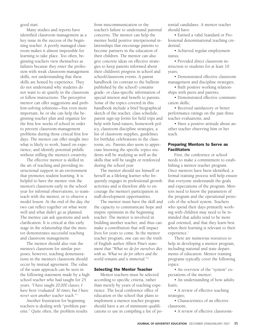good start.

Many studies and reports have identified classroom management as a key issue in the success of the beginning teacher. A poorly managed classroom makes it almost impossible for learning to take place. Too often, beginning teachers view themselves as failures because they enter the profession with weak classroom-management skills, not understanding that these skills are honed by experience. They do not understand why students do not want to sit quietly in the classroom or follow instructions. The perceptive mentor can offer suggestions and problem-solving solutions—but even more important, he or she can help the beginning teacher plan and organize for the first few weeks of school in order to prevent classroom-management problems during those critical first few days. The mentor can offer insight into what is likely to work, based on experience; and identify potential pitfalls without stifling the mentee's creativity.

The effective mentor is skilled in the art of teaching and providing instructional support in an environment that promotes student learning. It is helpful to have the mentee visit the mentor's classroom early in the school year for informal observations, to teamteach with the mentor, or to observe a model lesson. At the end of the day, the two can reflect together on what went well and what didn't go as planned. The mentee can ask questions and seek clarification. It is critical at this early stage in the relationship that the mentor demonstrates successful teaching and classroom management.

The mentor should also visit the mentee's classroom for similar purposes; however, teaching demonstrations in the mentee's classroom should occur by mutual agreement. The value of the team approach can be seen in the following statement made by a high school teacher who had taught for 25 years, *"I have taught 20,000 classes; I have been 'evaluated' 30 times; but I have never seen another teacher teach."* <sup>5</sup>

Another frustration for beginning teachers is dealing with "problem parents." Quite often, the problem results from miscommunication or the teacher's failure to understand parental concerns. The mentor can help the mentee build positive interpersonal relationships that encourage parents to become partners in the education of their children. The mentor can also give concrete ideas on effective strategies to keep parents informed about their children's progress in school and school/classroom events. A parent handbook (in contrast to the bulletin published by the school) contains grade- or class-specific information of special interest and benefit to parents. Some of the topics covered in this handbook include a brief biographical sketch of the teacher, class schedule, parent sign-up forms for field trips and help with fund-raisers, homework policy, classroom discipline strategies, a list of classroom supplies, guidelines for birthday celebrations in the classroom, etc. Parents also seem to appreciate knowing the specific topics students will be studying as well as the skills that will be taught or reinforced during the school year.

The mentor should see himself or herself as a lifelong learner who frequently engages in professional growth activities and is therefore able to encourage the mentee's participation in staff-development opportunities.

The mentor must have the skill and the capacity to communicate hope and inspire optimism in the beginning teacher. The mentor is involved in building another teacher, and thus can make a contribution that will impact lives for years to come. In the mentor teacher program, one can see the truth of English author Albert Pine's statement that *"What we do for ourselves dies with us. What we do for others and the world remains and is immortal* "<sup>6</sup>

## Selecting the Mentor Teacher

Mentor teachers must be selected according to specific criteria, rather than merely by years of teaching experience. The local conference office of education or the school that plans to implement a mentor teacher program should have a set of minimum qualifications to use in compiling a list of potential candidates. A mentor teacher should have:

• Earned a valid Standard or Professional denominational teaching credential;

• Achieved regular employment status;

• Provided direct classroom instruction to students for at least 10 years;

• Demonstrated effective classroom management and discipline strategies;

• Built positive working relationships with peers and parents;

• Demonstrated effective communication skills;

• Received satisfactory or better performance ratings on the past three teacher evaluations; and

• Have a positive attitude about another teacher observing him or her teach.

## Preparing Mentors to Serve as **Facilitators**

First, the conference or school needs to make a commitment to establishing a mentor teacher program. Once mentors have been identified, a formal training process will help ensure that everyone understands the goals and expectations of the program. Mentors need to know the parameters of the program and the operational protocols of the school system. Teachers who spend their days primarily working with children may need to be reminded that adults tend to be more goal oriented, and that they learn best when their learning is relevant to their experience.<sup>7</sup>

There are numerous resources to help in developing a mentor program, including national and state departments of education. Mentor training programs typically cover the following topics:

• An overview of the "system" expectations of the mentor;

• An understanding of how adults learn;

• A review of effective teaching strategies;

• Characteristics of an effective classroom;

• A review of effective classroom-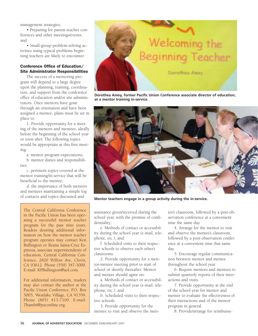management strategies;

• Preparing for parent-teacher conferences and other meetings/events; and

• Small-group problem-solving activities using typical problems beginning teachers are likely to encounter.

## Conference Office of Education/ Site Administrator Responsibilities

The success of a mentoring program will depend to a large degree upon the planning, training, coordination, and support from the conference office of education and/or site administrators. Once mentors have gone through an orientation and have been assigned a mentee, plans must be set in place to:

1. Provide opportunity for a meeting of the mentors and mentees, ideally before the beginning of the school year or soon after. The following topics would be appropriate at this first meeting:

a. mentor program expectations;

b. mentor duties and responsibilities:

c. pertinent topics covered at the mentor training/in-service that will be beneficial to the mentee;

d. the importance of both mentors and mentees maintaining a simple log of contacts and topics discussed and

The Central California Conference in the Pacific Union has been operating a successful mentor teacher program for the past nine years. Readers desiring additional information on how the mentor teacher program operates may contact Ken Bullington or Ileana Santa-Cruz Espinosa, associate superintendents of education, Central California Conference, 2820 Willow Ave, Clovis, CA 93612. Phone (559) 347-3000. E-mail: KPBullington@aol.com.

For additional information, readers may also contact the author at the Pacific Union Conference, P.O. Box 5005, Westlake Village, CA 91359. Phone (805) 413-7100. E-mail: Thambi@puconline.org.



**Dorothea Amey, former Pacific Union Conference associate director of education, at a mentor training in-service.**



**Mentor teachers engage in a group activity during the in-service.**

assistance given/received during the school year, with the promise of confidentiality;

e. Methods of contact or accessibility during the school year (e-mail, telephone, etc.); and

f. Scheduled visits to their respective schools to observe each other's classrooms.

2. Provide opportunity for a mentor-mentee meeting prior to start of school or shortly thereafter. Mentor and mentee should agree on:

a. Methods of contact or accessibility during the school year (e-mail, telephone, etc.); and

b. Scheduled visits to their respective schools.

3. Provide opportunity for the mentee to visit and observe the mentor's classroom, followed by a post-observation conference at a convenient time the same day.

4. Arrange for the mentor to visit and observe the mentee's classroom, followed by a post-observation conference at a convenient time that same day.

5. Encourage regular communication between mentor and mentee throughout the school year.

6. Require mentors and mentees to submit quarterly reports of their interactions and visits.

7. Provide opportunity at the end of the school year for mentor and mentee to evaluate the effectiveness of their interactions and of the mentor program in general.

8. Provide/arrange for reimburse-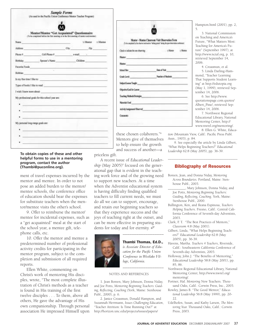|                | <b>Sample Forms</b><br>(As used in the Pacific Union Conference Mentor Teacher Program)                                                                                                                                              |  |                    |
|----------------|--------------------------------------------------------------------------------------------------------------------------------------------------------------------------------------------------------------------------------------|--|--------------------|
|                |                                                                                                                                                                                                                                      |  |                    |
|                |                                                                                                                                                                                                                                      |  |                    |
|                | Menton/Mentee "Get Acquainted" Questionnaire.<br>(To be completed before the first meeting or at the first meeting of mentor and menters)                                                                                            |  |                    |
|                | Name is a series of the contract of the contract of                                                                                                                                                                                  |  | 11 Monter : Mentos |
|                | Address City Zip                                                                                                                                                                                                                     |  |                    |
|                |                                                                                                                                                                                                                                      |  |                    |
|                | Birthday Spouse's Name Onldren                                                                                                                                                                                                       |  |                    |
|                | Favorite Foods (Section 2018) and the contract of the contract of the contract of the contract of the contract of the contract of the contract of the contract of the contract of the contract of the contract of the contract       |  |                    |
| <b>Hobbies</b> |                                                                                                                                                                                                                                      |  |                    |
|                |                                                                                                                                                                                                                                      |  |                    |
|                | Types of books I like to read and the state of the state of the state of the state of the state of the state of the state of the state of the state of the state of the state of the state of the state of the state of the st       |  |                    |
|                | wish I know more about: the contract of the contract of the contract of the contract of the contract of the contract of the contract of the contract of the contract of the contract of the contract of the contract of the co       |  |                    |
|                | My professional goals for this school year are:                                                                                                                                                                                      |  |                    |
|                | the state of the control of the control of                                                                                                                                                                                           |  |                    |
|                |                                                                                                                                                                                                                                      |  |                    |
|                | <u> 1989 - Jan James James Jan James James James James James James James James James James James James James James James James James James James James James James James James James James James James James James James James J</u> |  |                    |
|                | My personal limp-range goals and                                                                                                                                                                                                     |  |                    |
|                |                                                                                                                                                                                                                                      |  |                    |
|                |                                                                                                                                                                                                                                      |  |                    |
|                |                                                                                                                                                                                                                                      |  |                    |
|                |                                                                                                                                                                                                                                      |  |                    |

## **To obtain copies of these and other helpful forms to use in a mentoring program, contact the author (Thambi@puconline.org).**

ment of travel expenses incurred by the mentor and mentee. In order to not pose an added burden to the mentor/ mentee schools, the conference office of education should bear the expenses for substitute teachers when the mentor/mentee visits the other's school.

9. Offer to reimburse the mentor/ mentee for incidental expenses, such as a "get acquainted" meal at the start of the school year, a mentee gift, telephone calls, etc.

10. Offer the mentor and mentee a predetermined number of professional activity credits for participating in the mentor program, subject to the completion and submission of all required reports.

Ellen White, commenting on Christ's work of mentoring His disciples, wrote, "The most complete illustration of Christ's methods as a teacher is found in His training of the first twelve disciples . . . To them, above all others, He gave the advantage of His own companionship. Through personal association He impressed Himself upon

|                                                                                     | Mentor - Mentor Cheeroom Visit Observation Form<br>(folecompleted by the sharker audiencies "taking poles" dating the post-sharkerize conference) |
|-------------------------------------------------------------------------------------|---------------------------------------------------------------------------------------------------------------------------------------------------|
| Check to indicate the one observing                                                 | talkeen chlose                                                                                                                                    |
| Nesture and the contract of the contract of                                         |                                                                                                                                                   |
| National Committee of the Committee of                                              |                                                                                                                                                   |
|                                                                                     | Short Show Data (That Change Countries)                                                                                                           |
|                                                                                     |                                                                                                                                                   |
|                                                                                     |                                                                                                                                                   |
| Objective Goal for Lexion entry and the contract of the contract of the contract of |                                                                                                                                                   |
|                                                                                     |                                                                                                                                                   |
|                                                                                     | Marchite Clerk (1989) and the contract of the contract of the contract of the contract of                                                         |
|                                                                                     | Activity (Ausignment Observed) have a control of the control of the control of                                                                    |
| Connests                                                                            |                                                                                                                                                   |

these chosen colaborers."8 Mentors give of themselves to help ensure the growth and success of another—a

priceless gift.

A recent issue of *Educational Leader*ship (May 2005)<sup>9</sup> focused on the generational gap that is evident in the teaching work force and of the growing need to support new teachers. At a time when the Adventist educational system is having difficulty finding qualified teachers to fill current needs, we must do all we can to support, encourage, and retain our beginning teachers so that they experience success and the joys of teaching right at the outset, and can be more effective in preparing students for today and for eternity.



Thambi Thomas, Ed.D.,

\_\_\_\_\_\_\_\_\_\_\_\_\_\_\_\_\_\_

*is Associate Director of Education for the Pacific Union Conference in Westlake Village, California.*

\_\_\_\_\_\_\_\_\_\_\_\_\_\_\_\_\_\_

#### NOTES AND REFERENCES

1. Jean Boreen, Mary Johnson, Donna Niday, and Joe Potts, *Mentoring Beginning Teachers: Guiding, Reflecting, Coaching* (York, Maine: Stenhouse Publ., 2000), p. 6.

2. Janice Croasmun, Donald Hampton, and Suzannah Herrmann, *Issues Challenging Education*, "Teacher Attrition: Is Time Running Out?" at http://horizon.unc.edu/projects/issues/papers/

Hampton.html (2001), pp. 2, 5.

3. National Commission on Teaching and America's Future, "What Matters Most: Teaching for America's Future" (September 1997), at http://www.nctaf.org, p. 10, retrieved September 14, 2006.

4. Croasmun, et al. 5. Linda Darling-Hammond, "Teacher Learning That Supports Student Learning" at http://edutopia.org (May 1, 1999), retrieved September 14, 2006.

6. See http://www. quotationspage.com.quotes/ Albert\_Pine/, retrieved September 14, 2006.

7. Northwest Regional Educational Library, National Mentoring Center, http:// www.nwrel.org/mentoring/.

8. Ellen G. White, *Education* (Mountain View, Calif.: Pacific Press Publ.

Assn., 1903), p. 84. 9. See especially the article by Linda Gilbert, "What Helps Beginning Teachers?" *Educational Leadership* 62:8 (May 2005), pp. 36-39.

## \_\_\_\_\_\_\_\_\_\_\_\_\_\_\_\_\_\_\_\_\_\_\_\_\_\_\_\_\_\_\_\_\_\_\_\_\_\_\_ Bibliography of Resources

Boreen, Jean, and Donna Niday, *Mentoring Across Boundaries.* Portland, Maine: Stenhouse Publ., 2003.

\_\_\_\_\_\_\_\_\_\_, Mary Johnson, Donna Niday, and Joe Potts, *Mentoring Beginning Teachers: Guiding, Reflecting, Coaching*. York, Maine: Stenhouse Publ., 2000.

- Bullington, Ken, and Ileana Espinosa, *Teachers Helping Teachers*. Fresno, Calif.: Central California Conference of Seventh-day Adventists, 2003.
- Clark, F. T. "The Best Practices of Mentors," *Classroom* 4:8 (May 2001).
- Gilbert, Linda, "What Helps Beginning Teachers?" *Educational Leadership* 62:8 (May 2005), pp. 36-39.
- Havens, Martha. *Teachers 4 Teachers*, Riverside, Calif.: Southeastern California Conference of Seventh-day Adventists, 2003.
- Holloway, John J. "The Benefits of Mentoring," *Educational Leadership* 58:8 (May 2001), pp. 85, 86.
- Northwest Regional Educational Library, National Mentoring Center, http://www.nwrel.org/ mentoring/.
- Portner, Hal. *Mentoring* New Teachers. Thousand Oaks, Calif.: Corwin Press, Inc., 2003.
- Rowley, James B. "The Good Mentor," *Educational Leadership* 56:8 (May 1999), pp. 20- 22.
- Udelhofen, Susan, and Kathy Larson, *The Mentoring Year.* Thousand Oaks, Calif.: Corwin Press, 2003.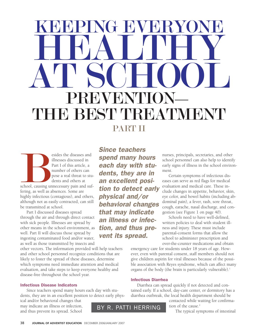# G EVERY HEALTHY AT SCHOOL PREVENTION **BEST TREATN** PART II

esides the diseases and<br>illnesses discussed in<br>Part I of this article, a<br>number of others can<br>pose a real threat to students and others at<br>school, causing unnecessary pain and su<br>fering, as well as absences. Some are illnesses discussed in Part I of this article, a number of others can pose a real threat to students and others at school, causing unnecessary pain and suffering, as well as absences. Some are highly infectious (contagious), and others, although not as easily contracted, can still be transmitted at school.

Part I discussed diseases spread through the air and through direct contact with sick people. Illnesses are spread by other means in the school environment, as well. Part II will discuss those spread by ingesting contaminated food and/or water, as well as those transmitted by insects and

other vectors. The information provided will help teachers and other school personnel recognize conditions that are likely to foster the spread of these diseases, determine which symptoms need immediate attention and medical evaluation, and take steps to keep everyone healthy and disease-free throughout the school year.

## Infectious Disease Indicators

Since teachers spend many hours each day with students, they are in an excellent position to detect early phys-

ical and/or behavioral changes that may indicate an illness or infection, may indicate an illness or infection,<br>and thus prevent its spread. School BY R. PATTI HERRING

Since teachers spend many hours each day with students, they are in an excellent position to detect early physical and/or behavioral changes that may indicate an illness or infection, and thus prevent its spread.

nurses, principals, secretaries, and other school personnel can also help to identify early signs of illness in the school environment.

Certain symptoms of infectious diseases can serve as red flags for medical evaluation and medical care. These include changes in appetite, behavior, skin, eye color, and bowel habits (including abdominal pain), a fever, rash, sore throat, cough, earache, nasal discharge, and congestion (see Figure 1 on page 40).

Schools need to have well-defined, written policies to deal with student illness and injury. These must include parental-consent forms that allow the school to administer prescription and over-the-counter medications and obtain

emergency care for students under 18 years of age. However, even with parental consent, staff members should not give children aspirin for viral illnesses because of the possible association with Reyes syndrome, which can affect many organs of the body (the brain is particularly vulnerable).<sup>1</sup>

## Infectious Diarrhea

Diarrhea can spread quickly if not detected and contained early. If a school, day-care center, or dormitory has a diarrhea outbreak, the local health department should be

contacted while waiting for confirmation of the cause.<sup>2</sup>

The typical symptoms of intestinal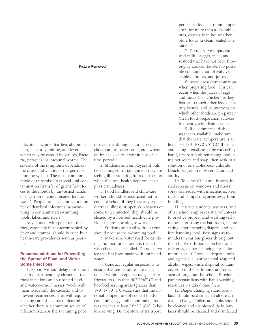## Picture Removed

infections include diarrhea, abdominal pain, nausea, vomiting, and fever, which may be caused by viruses, bacteria, parasites, or intestinal worms. The severity of the symptoms depends on the cause and vitality of the person's immune system. The most common mode of transmission is fecal-oral contamination (transfer of germs from feces to the mouth by unwashed hands or ingestion of contaminated food or water). People can also contract a number of diarrheal infections by swimming in contaminated swimming pools, lakes, and rivers.3

Any student with persistent diarrhea, especially if it is accompanied by fever and cramps, should be seen by a health-care provider as soon as possible.

## Recommendations for Preventing the Spread of Food- and Water-Borne Infections

1. Report without delay to the local health department any clusters of diarrheal infections and suspected foodand water-borne illnesses. Work with them to identify the cause(s) and to prevent recurrences. This will require keeping careful records to determine whether there is a common source of infection, such as the swimming pool

or river, the dining hall, a particular classroom or locker room, etc., where outbreaks occurred within a specific time period.<sup>4</sup>

2. Students and employees should be encouraged to stay home if they are feeling ill or suffering from diarrhea; or when the local health department or physician advises.

3. Food handlers and child-care workers should be instructed not to come to school if they have any type of diarrheal illness or open skin lesions or sores. Once infected, they should be cleared by a licensed health-care provider before returning to work.

4. Students and staff with diarrhea should not use the swimming pool.<sup>5</sup>

5. Make sure water used for drinking and food preparation is treated with chemicals or boiled. Do not serve ice that has been made with untreated water.

6. Conduct regular inspections to ensure that temperatures are maintained within acceptable ranges for refrigerators (less than 40° F/60º C) and hot-food serving areas (greater than 140° F/ 60º C). Make sure that the internal temperature of cooked foods containing eggs, milk, and meat products reaches at least 185° F (85º C) before serving. Do not store or transport

perishable foods at room temperature for more than a few minutes, especially in hot weather. Store foods in clean, sealed containers.<sup>6</sup>

7. Do not serve unpasteurized milk, or eggs, meat, and seafood that have not been thoroughly cooked. Be alert to possible contamination of leafy vegetables, sprouts, and juices.

8. Avoid cross-contamination when preparing food. This can occur when the juices of eggs and meats (i.e., chicken, turkey, fish, etc.) touch other foods, cutting boards, and countertops on which other foods are prepared.<sup>7</sup> Clean food-preparation surfaces frequently with disinfectants.

9. If a commercial dishwasher is available, make sure that the water temperature is at

least 170-180° F (70-75° C).<sup>8</sup> If dishes and eating utensils must be washed by hand, first scrub off remaining food using hot water and soap, then soak in a solution of one tablespoon chloride bleach per gallon of water. Drain and air dry.

10. To control flies and insects, install screens on windows and doors; spray as needed with insecticides; keep trash and composting areas away from buildings.

11. Instruct students, teachers, and other school employees and volunteers to practice proper hand-washing techniques after using the bathroom, before eating, after changing diapers, and before handling food. Post signs as reminders in various places throughout the school (bathrooms, kitchens and cafeterias, diaper-changing areas, dormitories, etc.). Provide adequate tools and agents (i.e., antibacterial soap and alcohol wipes, waste disposal containers, etc.) in the bathrooms and other areas throughout the school. Provide parents/guardians with hand-washing resources via take-home fliers.

12. Diaper-changing stations/surfaces should be disinfected after each diaper change. Toilets and sinks should be cleaned and disinfected daily. Surfaces should be cleaned and disinfected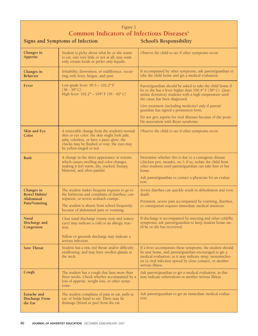## Figure 1 **Common Indicators of Infectious Diseases**<sup>9</sup>

Signs and Symptoms of Infection School's Responsibility

| Changes in<br>Appetite                                           | Student is picky about what he or she wants<br>to eat, eats very little or not at all; may want<br>only certain foods or prefer only liquids.                                                                                  | Observe the child to see if other symptoms occur.                                                                                                                                                                                                                                                                                                                                    |  |
|------------------------------------------------------------------|--------------------------------------------------------------------------------------------------------------------------------------------------------------------------------------------------------------------------------|--------------------------------------------------------------------------------------------------------------------------------------------------------------------------------------------------------------------------------------------------------------------------------------------------------------------------------------------------------------------------------------|--|
| Changes in<br>Behavior                                           | Irritability, drowsiness, or indifference, occur-<br>ring with fever, fatigue, and pain                                                                                                                                        | If accompanied by other symptoms, ask parent/guardian to<br>take the child home and get a medical evaluation.                                                                                                                                                                                                                                                                        |  |
| Fever                                                            | Low-grade fever: 99.5 - 102.2° F<br>$(38 - 39^{\circ} C)$<br>High fever: 102.2° - 104° F (39 - 42° C)                                                                                                                          | Parent/guardian should be asked to take the child home if<br>he or she has a fever higher than 100.4° F (38° C). Quar-<br>antine dormitory students with a high temperature until<br>the cause has been diagnosed.<br>Give treatment (including medicine) only if parent/<br>guardian has signed a permission form.<br>Do not give aspirin for viral illnesses because of the possi- |  |
|                                                                  |                                                                                                                                                                                                                                | ble association with Reyes syndrome.                                                                                                                                                                                                                                                                                                                                                 |  |
| Skin and Eye<br>Color                                            | A noticeable change from the student's normal<br>skin or eye color: the skin might look pale,<br>ashy, colorless, or have a pasty glow; the<br>cheeks may be flushed or rosy; the eyes may<br>be yellow-tinged or red.         | Observe the child to see if other symptoms occur.                                                                                                                                                                                                                                                                                                                                    |  |
| Rash                                                             | A change in the skin's appearance or texture,<br>which causes swelling and color changes,<br>making it feel warm, dry, cracked, bumpy,<br>blistered, and often painful.                                                        | Determine whether this is due to a contagious disease<br>(chicken pox, measles, etc.); if so, isolate the child from<br>other students until parent/guardian can take him or her<br>home.<br>Ask parent/guardian to contact a physician for an evalua-<br>tion.                                                                                                                      |  |
| Changes in<br><b>Bowel Habits/</b><br>Abdominal<br>Pain/Vomiting | The student makes frequent requests to go to<br>the bathroom and complains of diarrhea, con-<br>stipation, or severe stomach cramps.<br>The student is absent from school frequently<br>because of abdominal pain or vomiting. | Severe diarrhea can quickly result in dehydration and even<br>death.<br>Persistent, severe pain accompanied by vomiting, diarrhea,<br>or constipation requires immediate medical attention.                                                                                                                                                                                          |  |
| <b>Nasal</b><br>Discharge and<br>Congestion                      | Clear nasal discharge (runny nose and watery<br>eyes) may indicate a cold or an allergic reac-<br>tion.<br>Yellow or greenish discharge may indicate a<br>serious infection                                                    | If discharge is accompanied by sneezing and other cold/flu<br>symptoms, ask parent/guardian to keep student home un-<br>til he or she has recovered.                                                                                                                                                                                                                                 |  |
| <b>Sore Throat</b>                                               | Student has a raw, red throat and/or difficulty<br>swallowing, and may have swollen glands in<br>the neck.                                                                                                                     | If a fever accompanies these symptoms, the student should<br>be sent home, and parent/guardian encouraged to get a<br>medical evaluation, as it may indicate strep, mononucleo-<br>sis (a viral infection spread by close contact), or another<br>serious illness.                                                                                                                   |  |
| Cough                                                            | The student has a cough that lasts more than<br>three weeks. Check whether accompanied by a<br>loss of appetite, weight loss, or other symp-<br>toms.                                                                          | Ask parent/guardian to get a medical evaluation, as this<br>may indicate tuberculosis or another serious illness.                                                                                                                                                                                                                                                                    |  |
| Earache and<br><b>Discharge From</b><br>the Ear                  | The student complains of pain in ear, pulls at<br>ear, or holds hand to ear. There may be<br>drainage (blood or pus) from the ear.                                                                                             | Ask parent/guardian to get an immediate medical evalua-<br>tion.                                                                                                                                                                                                                                                                                                                     |  |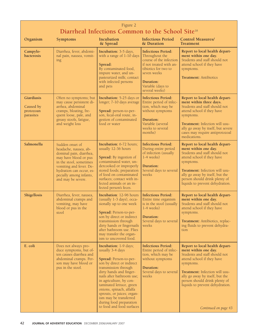## Figure 2 **Diarrheal Infections Common to the School Site**<sup>18</sup>

| Organism                                                 | <b>Symptoms</b>                                                                                                                                                                                                                 | Incubation<br>& Spread                                                                                                                                                                                                                                                                                                                                                                     | <b>Infectious Period</b><br>& Duration                                                                                                                                                       | <b>Control Measures/</b><br><b>Treatment</b>                                                                                                                                                                                                                                                        |
|----------------------------------------------------------|---------------------------------------------------------------------------------------------------------------------------------------------------------------------------------------------------------------------------------|--------------------------------------------------------------------------------------------------------------------------------------------------------------------------------------------------------------------------------------------------------------------------------------------------------------------------------------------------------------------------------------------|----------------------------------------------------------------------------------------------------------------------------------------------------------------------------------------------|-----------------------------------------------------------------------------------------------------------------------------------------------------------------------------------------------------------------------------------------------------------------------------------------------------|
| Campylo-<br><b>bacterosis</b>                            | Diarrhea, fever, abdomi-<br>nal pain, nausea, vomit-<br>ing                                                                                                                                                                     | Incubation: 3-5 days,<br>with a range of 1-10 days<br>Spread:<br>By contaminated food,<br>impure water, and un-<br>pasteurized milk; contact<br>with infected persons<br>and pets                                                                                                                                                                                                          | <b>Infectious Period:</b><br>Throughout the<br>course of the infection<br>if not treated with an-<br>tibiotics for two to<br>seven weeks<br>Duration:<br>Variable (days to<br>several weeks) | Report to local health depart-<br>ment within one day.<br>Students and staff should not<br>attend school if they have<br>symptoms.<br><b>Treatment: Antibiotics</b>                                                                                                                                 |
| <b>Giardiasis</b><br>Caused by<br>protozoan<br>parasites | Often no symptoms; but<br>may cause persistent di-<br>arrhea, abdominal<br>cramps, bloating, fre-<br>quent loose, pale, and<br>greasy stools, fatigue,<br>and weight loss                                                       | Incubation: 5-25 days or<br>longer; 7-10 days average<br>Spread: person-to-per-<br>son, fecal-oral route, in-<br>gestion of contaminated<br>food or water                                                                                                                                                                                                                                  | <b>Infectious Period:</b><br>Entire period of infec-<br>tion, which may be<br>without symptoms<br>Duration:<br>Variable (several<br>weeks to several<br>months)                              | Report to local health depart-<br>ment within three days.<br>Students and staff should not<br>attend school if they have<br>symptoms.<br>Treatment: Infection will usu-<br>ally go away by itself, but severe<br>cases may require antiprotozoal<br>medications.                                    |
| Salmonella                                               | Sudden onset of<br>headache, nausea, ab-<br>dominal pain, diarrhea,<br>may have blood or pus<br>in the stool, sometimes<br>vomiting and fever. De-<br>hydration can occur, es-<br>pecially among infants,<br>and may be severe. | Incubation: 6-72 hours;<br>usually 12-36 hours<br>Spread: By ingestion of<br>contaminated water, un-<br>dercooked or improperly<br>stored foods; preparation<br>of food on contaminated<br>surfaces; contact with in-<br>fected animals or an in-<br>fected person's feces.                                                                                                                | <b>Infectious Period:</b><br>During entire period<br>of infection (usually<br>$1-4$ weeks)<br>Duration:<br>Several days to several<br>weeks                                                  | Report to local health depart-<br>ment within one day.<br>Students and staff should not<br>attend school if they have<br>symptoms.<br>Treatment: Infection will usu-<br>ally go away by itself, but the<br>person should drink plenty of<br>liquids to prevent dehydration.                         |
| Shigellosis                                              | Diarrhea, fever, nausea,<br>abdominal cramps and<br>vomiting, may have<br>blood or pus in the<br>stool                                                                                                                          | <b>Incubation: 12-96 hours</b><br>(usually 1-3 days), occa-<br>sionally up to one week<br>Spread: Person-to-per-<br>son by direct or indirect<br>transmission through<br>dirty hands or fingernails<br>after bathroom use. Flies<br>may transfer the organ-<br>ism to uncovered food.                                                                                                      | <b>Infectious Period:</b><br>Entire time organism<br>is in the stool (usually<br>$1-4$ weeks)<br>Duration:<br>Several days to several<br>weeks                                               | Report to local health depart-<br>ment within one day.<br>Students and staff should not<br>attend school if they have<br>symptoms.<br>Treatment: Antibiotics, replac-<br>ing fluids to prevent dehydra-<br>tion                                                                                     |
| E. coli                                                  | Does not always pro-<br>duce symptoms, but of-<br>ten causes diarrhea and<br>abdominal cramps. Per-<br>son may have blood or<br>pus in the stool.                                                                               | <b>Incubation:</b> 1-9 days;<br>usually 3-4 days<br>Spread: Person-to-per-<br>son by direct or indirect<br>transmission through<br>dirty hands and finger-<br>nails after bathroom use;<br>in agriculture, by con-<br>taminated lettuce, green<br>onions, spinach, alfalfa<br>sprouts, or juices; organ-<br>ism may be transferred<br>during food preparation<br>to food and food surfaces | <b>Infectious Period:</b><br>Entire period of infec-<br>tion, which may be<br>without symptoms<br>Duration:<br>Several days to several<br>weeks                                              | Report to local health depart-<br>ment within one day.<br>Students and staff should not<br>attend school if they have<br>symptoms.<br>Treatment: Infection will usu-<br>ally go away by itself, but the<br>person should drink plenty of<br>liquids to prevent dehydration.<br>Continued on page 43 |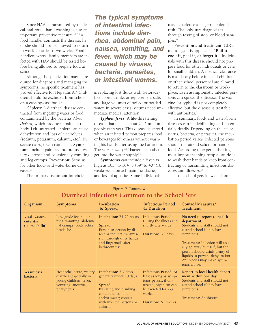Since HAV is transmitted by the fecal-oral route, hand washing is also an important preventive measure.<sup>19</sup> If a food handler contracts the disease, he or she should not be allowed to return to work for at least two weeks. Food handlers whose family members are infected with HAV should be tested before being allowed to prepare food at school.

Although hospitalization may be required for diagnosis and managing the symptoms, no specific treatment has proved effective for Hepatitis A.20 Children should be excluded from school on a case-by-case basis.<sup>21</sup>

*Cholera:* A diarrheal disease contracted from ingesting water or food contaminated by the bacteria *Vibrio cholera*, which produces toxins in the body. Left untreated, cholera can cause dehydration and loss of electrolytes (sodium, potassium, calcium, etc.). In severe cases, death can occur. **Symptoms** include painless and profuse, watery diarrhea and occasionally vomiting and leg cramps. **Prevention:** Same as for other food- and water-borne diseases.<sup>22</sup>

The primary **treatment** for cholera

The typical symptoms of intestinal infections include diarrhea, abdominal pain, nausea, vomiting, and fever, which may be caused by viruses, bacteria, parasites, or intestinal worms.

is replacing lost fluids with Gatoradelike sports drinks or replacement salts and large volumes of boiled or bottled water. In severe cases, victims need immediate medical attention.

*Typhoid fever:* A life-threatening disease that affects about 21.5 million people each year. This disease is spread when an infected person prepares food or beverages for others without washing his hands after using the bathroom. The *salmonella typhi* bacteria can also get into the water supply.23

**Symptoms** can include a fever as high as 103º to 104º F (39º to 40º C), weakness, stomach pain, headache, and loss of appetite. Some individuals

may experience a flat, rose-colored rash. The only sure diagnosis is through testing of stool or blood samples.<sup>24</sup>

**Prevention and treatment:** CDC's motto again is applicable: **"Boil it, cook it, peel it, or forget it."** Individuals with this disease should not prepare food for other individuals or care for small children. A medical clearance is mandatory before infected children or other school personnel are allowed to return to the classroom or workplace. Even asymptomatic infected persons can spread the disease. The vaccine for typhoid is not completely effective, but the disease is treatable with antibiotics.<sup>25</sup>

In summary, food- and water-borne diseases can be debilitating and potentially deadly. Depending on the cause (virus, bacteria, or parasite), the incubation period varies. Infected persons should not attend school or handle food. According to experts, the single most important thing people can do is to wash their hands to keep from contracting or transmitting infectious diseases and illnesses.<sup>26</sup>

If the school gets its water from a

| Figure 2 Continued<br>Diarrheal Infections Common to the School Site |                                                                                                                    |                                                                                                                                                                                   |                                                                                                                                                                        |                                                                                                                                                                                                                                                                                                              |
|----------------------------------------------------------------------|--------------------------------------------------------------------------------------------------------------------|-----------------------------------------------------------------------------------------------------------------------------------------------------------------------------------|------------------------------------------------------------------------------------------------------------------------------------------------------------------------|--------------------------------------------------------------------------------------------------------------------------------------------------------------------------------------------------------------------------------------------------------------------------------------------------------------|
| Organism                                                             | <b>Symptoms</b>                                                                                                    | Incubation<br>& Spread                                                                                                                                                            | Infectious Period<br>& Duration                                                                                                                                        | <b>Control Measures/</b><br><b>Treatment</b>                                                                                                                                                                                                                                                                 |
| Viral Gastro-<br>enteritis<br>(stomach flu)                          | Low-grade fever, diar-<br>rhea, vomiting, abdomi-<br>nal cramps, body aches,<br>headache                           | <b>Incubation: 24-72 hours</b><br>Spread:<br>Person-to-person by di-<br>rect or indirect transmis-<br>sion through dirty hands<br>and fingernails after<br>bathroom use           | <b>Infectious Period:</b><br>During the illness and<br>shortly afterwards<br><b>Duration:</b> 1-2 days                                                                 | No need to report to health<br>department.<br>Students and staff should not<br>attend school if they have<br>symptoms.<br>Treatment: Infection will usu-<br>ally go away by itself, but the<br>person should drink plenty of<br>liquids to prevent dehydration.<br>Antibiotics may make symp-<br>toms worse. |
| <b>Yersiniosis</b><br><b>bacteria</b>                                | Headache, acute, watery<br>diarrhea (especially in<br>young children) fever,<br>vomiting, anorexia,<br>pharyngitis | <b>Incubation:</b> 3-7 days;<br>generally under 10 days<br>Spread:<br>By eating and drinking<br>contaminated food<br>and/or water; contact<br>with infected persons or<br>animals | <b>Infectious Period: At</b><br>least as long as symp-<br>toms persist; if un-<br>treated, organism can<br>be excreted for 2-3<br>weeks.<br><b>Duration: 2-3 weeks</b> | Report to local health depart-<br>ment within one day.<br>Students and staff should not<br>attend school if they have<br>symptoms.<br><b>Treatment:</b> Antibiotics                                                                                                                                          |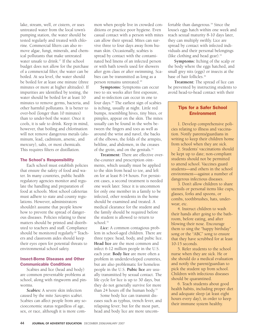lake, stream, well, or cistern, or uses untreated water from the local town's pumping station, the water should be tested regularly and treated with chlorine. Commercial filters can also remove algae, fungi, minerals, and chemical pollutants that make untreated water unsafe to drink.<sup>27</sup> If the school budget does not allow for the purchase of a commercial filter, the water can be boiled. At sea level, the water should be boiled for at least one minute (three minutes or more at higher altitudes). If impurities are identified by testing, the water should be boiled for at least 10 minutes to remove germs, bacteria, and other harmful pollutants. It is better to over-boil (longer than 10 minutes) than to under-boil the water. Once it cools, it is safe to drink. Keep in mind, however, that boiling and chlorination will not remove dangerous metals (aluminum, lead, cadmium, arsenic, and mercury), salts, or most chemicals. This requires filters or distillation.

## The School's Responsibility

Each school must establish policies that ensure the safety of food and water. In many countries, public health regulatory agencies monitor and regulate the handling and preparation of food at schools. Most school cafeterias must adhere to state and county regulations. However, administrators shouldn't assume that people know how to prevent the spread of dangerous diseases. Policies relating to these matters should be printed and distributed to teachers and staff. Compliance should be monitored regularly.<sup>28</sup> Teachers and classroom aides should keep their eyes open for potential threats to environmental school safety.

## Insect-Borne Diseases and Other Communicable Conditions

Scabies and lice (head and body) are common preventable problems at school, along with ringworm and pinworms.

*Scabies:* A severe skin infection caused by the mite *Sarcoptes scabiei*. Scabies can affect people from any socioeconomic status regardless of age, sex, or race, although it is more common when people live in crowded conditions or practice poor hygiene. Even casual contact with a person with mites can allow their spread. Mites can survive three to four days away from human skin. Occasionally, scabies is spread by contact with the contaminated bed linens of an infected person or with bath towels used for showers after gym class or after swimming. Scabies can be transmitted as long as a person remains untreated.29

**Symptoms:** Symptoms can occur two to six weeks after first exposure, and re-infection can occur in one to four days.30 The earliest sign of scabies is itching, usually at night. Little red bumps, resembling hives, tiny bites, or pimples, appear on the skin. The mites usually can be found in the webs between the fingers and toes as well as around the wrist and navel, the backs of the elbows, the folds of the armpits, beltline, and abdomen, in the creases of the groin, and on the genitals.<sup>31</sup>

**Treatment:** There are effective overthe-counter and prescription ointments, which usually must be applied to the skin from head to toe, and left on for at least 8-14 hours. For persistent cases, a second treatment is needed one week later. Since it is uncommon for only one member in a family to be infected, other residents in the home should be examined and treated. A medical clearance for the student and the family should be required before the student is allowed to return to school.<sup>32</sup>

*Lice:* A common contagious problem in school-aged children. There are three types: head, body, and pubic lice. **Head lice** are the most common and infect 6-12 million people in the U.S. each year. **Body lice** are more often a problem in underdeveloped countries, but are also problematic for homeless people in the U.S. **Pubic lice** are usually transmitted by sexual contact. The life cycle for lice is up to 30 days, but they do not generally survive for more than 24 hours off the human body.<sup>33</sup>

Some body lice can transmit diseases such as typhus, trench fever, and relapsing fever; but for the most part, head and body lice are more uncomfortable than dangerous.<sup>34</sup> Since the louse's eggs hatch within one week and reach sexual maturity 8-10 days later, they can multiply swiftly. Lice are spread by contact with infected individuals and their personal belongings (like clothing and head gear).<sup>35</sup>

**Symptoms:** Itching of the scalp or the body where the eggs hatched, and small grey nits (eggs) or insects at the base of hair follicles.36

**Treatment:** The spread of lice can be prevented by instructing students to avoid head-to-head contact with their

## Tips for a Safer School Environment

1. Develop comprehensive policies relating to illness and vaccination. Notify parents/guardians in writing to keep their children home from school when they are sick.

2. Students' vaccinations should be kept up to date; non-compliant students should not be permitted to attend school. Vaccines guard students—and others in the school environment—against a number of dangerous infectious diseases.

3. Don't allow children to share utensils or personal items like cups, glasses, forks and spoons, or combs, toothbrushes, hats, underwear, etc.

4. Instruct children to wash their hands after going to the bathroom, before eating, and after blowing their nose. Encourage them to sing the "happy birthday" song or the "ABC" song to ensure that they have scrubbed for at least 10-15 seconds.

5. Refer students to the school nurse when they are sick. He or she should do a medical evaluation and notify the parent/guardian to pick the student up from school. Children with infectious diseases should be quarantined.

6. Teach students about good health habits, including proper diet and adequate sleep (at least eight hours every day), in order to keep their immune system healthy.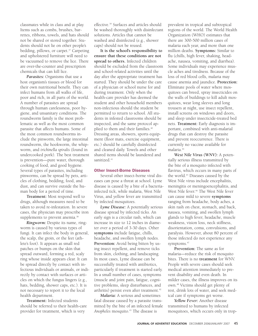classmates while in class and at play. Items such as combs, brushes, barrettes, ribbons, towels, and hats should not be shared or stored together. Students should not lie on other people's bedding, pillows, or carpet.<sup>37</sup> Carpeting and upholstered furniture will need to be vacuumed to remove the lice. There are over-the-counter and prescription chemicals that can kill lice.

*Parasites:* Organisms that use a host organism's tissues or blood for their own nutritional benefit. They can infect humans from all walks of life, poor and rich, in all parts of the world. A number of parasites are spread through human carelessness, poor hygiene, and unsanitary conditions. The roundworm family is the most problematic as well as the most common parasite that affects humans. Some of the most common roundworms include the pinworm, the large intestinal roundworm, the hookworm, the whipworm, and *trichinella spiralis* (found in undercooked pork). The best treatment is prevention—pure water, thorough cooking of food, and good hygiene. Several types of parasites, including pinworms, can be spread by pets, articles of clothing, bedding, food, and dust, and can survive outside the human body for a period of time.

**Treatment:** Most respond well to drugs, although measures need to be taken to avoid re-infestation. In severe cases, the physician may prescribe iron supplements to prevent anemia.<sup>38</sup>

*Ringworm:* Despite its name, ringworm is caused by various types of fungi. It can infect the body in general, the scalp, the groin, or the feet (athlete's foot). It appears as small red patches or bumps on the skin that spread outward, forming a red, scaly ring whose inside appears clear. It can be spread directly by contact with infectious individuals or animals, or indirectly by contact with surfaces or articles on which the fungus lingers (e.g., hats, bedding, shower caps, etc.). It is not necessary to report it to the local health department.

**Treatment:** Infected students should be referred to their health-care provider for treatment, which is very

effective.39 Surfaces and articles should be washed thoroughly with disinfectant solutions. Articles that cannot be washed and disinfected (e.g., shower caps) should not be reused.

**It is the school's responsibility to ensure that these conditions are not spread to others.** Infected children should be excluded from the classroom and school-related activities until the day after the appropriate treatment has started. They should be under the care of a physician or school nurse for and during treatment. Only when the health-care provider has deemed the student and other household members non-infectious should the student be permitted to return to school. All students in infested classrooms should be inspected, and the same protocol applied to them and their families.<sup>40</sup> Dressing areas, showers, sports equipment (floor mats, exercise equipment, etc.) should be carefully disinfected and cleaned daily. Towels and other shared items should be laundered and sanitized.<sup>41</sup>

## Other Insect-Borne Diseases

Several other insect-borne viral diseases can pose a threat at school. Lyme disease is caused by a bite of a bacteriainfected tick, while malaria, West Nile Virus, and yellow fever are transmitted by infected mosquitoes.

*Lyme Disease:* A potentially serious disease spread by infected ticks. An early sign is a circular rash, which can increase in size to 12 inches in diameter over a period of 3-30 days. Other **symptoms** include fatigue, chills, headache, and swollen lymph nodes. **Prevention:** Avoid being bitten by using insect repellent, and remove ticks from skin, clothing, and landscaping. In most cases, Lyme disease can be successfully treated with antibiotics, particularly if treatment is started early. In a small number of cases, symptoms (muscle and joint pain, fatigue, cognitive problems, sleep disturbances, and arthritis) persist even after treatment.<sup>42</sup>

*Malaria:* A serious and sometimes fatal disease caused by a parasite transmitted by the bite of an infected female *Anopheles* mosquito.43 The disease is

prevalent in tropical and subtropical regions of the world. The World Health Organization (WHO) estimates that there are 300-500 million cases of malaria each year, and more than one million deaths. **Symptoms:** Similar to flu (chills, high fever, shaking, headache, nausea, vomiting, and diarrhea). Some individuals may experience muscle aches and tiredness. Because of the loss of red blood cells, malaria may cause anemia and jaundice. **Protection:** Eliminate pools of water where mosquitoes can breed, spray insecticides on the walls of buildings to kill adult mosquitoes, wear long sleeves and long trousers at night, use insect repellent, install screens on windows and doors, and sleep under insecticide-treated bed nets. **Treatment:** Early diagnosis is important, combined with anti-malarial drugs that can destroy the parasite and prevent reoccurrence. There is currently no vaccine available for malaria.44

*West Nile Virus (WNV):* A potentially serious illness transmitted by the bite of a mosquito infected with flavirus, which occurs in many parts of the world.<sup>45</sup> Diseases caused by the West Nile virus include encephalitis, meningitis or meningoencephalitis, and West Nile fever.<sup>46</sup> The West Nile fever can cause mild to severe **symptoms** ranging from headache, body aches, a skin rash on chest, stomach, and back, nausea, vomiting, and swollen lymph glands to high fever, headache, muscle weakness, vision loss, neck stiffness, disorientation, coma, convulsions, and paralysis. However, about 80 percent of those infected do not experience any symptoms.<sup>47</sup>

**Prevention:** The same as for malaria—reduce the risk of mosquito bites. There is no **treatment** for WNV. People with severe cases should seek medical attention immediately to prevent disability and even death. In milder cases, the illness improves on its own.48 Victims should get plenty of rest, drink lots of water, and seek medical care if symptoms get worse.

*Yellow Fever:* Another disease transmitted to humans by infected mosquitoes, which occurs only in trop-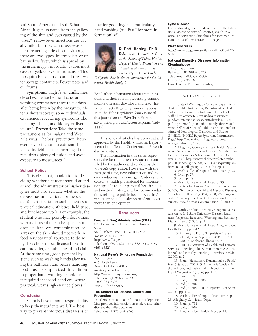ical South America and sub-Saharan Africa. It gets its name from the yellowing of the skin and eyes caused by the virus.49 Yellow fever infections are usually mild, but they can cause severe life-threatening side-effects. Although there are two types, intermediate or urban yellow fever, which is spread by the *aedes aegypti* mosquito, causes most cases of yellow fever in humans.<sup>50</sup> This mosquito breeds in discarded tires, water storage containers, flower pots, and oil drums.<sup>51</sup>

**Symptoms:** High fever, chills, muscle aches, backache, headache, and vomiting commence three to six days after being bitten by the mosquito. After a short recovery, some individuals experience reoccurring symptoms like bleeding, shock, and kidney or liver failure.52 **Prevention:** Take the same precautions as for malaria and West Nile virus. The best prevention, however, is vaccination. **Treatment:** Infected individuals are encouraged to rest, drink plenty of fluids, and avoid exposure to mosquitoes.<sup>53</sup>

## **School Policy**

"It is clear that, in addition to deciding whether a student should attend school, the administrator or his/her designee must also evaluate whether the disease has implications for the student's participation in such activities as physical education, athletics, field trips, and lunchroom work. For example, the student who may possibly infect others with a disease that can be spread via droplets, fecal-oral contamination, or sores on the skin should not work in food services until approved to do so by the school nurse, licensed healthcare provider, or public health official. At the same time, good personal hygiene such as washing hands after using the bathroom and before handling food must be emphasized. In addition to proper hand washing techniques, it is required that food handlers, where practical, wear single-service gloves."54

## **Conclusion**

Schools have a moral responsibility to keep their students well. The best way to prevent infectious diseases is to

practice good hygiene, particularly hand washing (see Part I for more information).



R. Patti Herring, Ph.D., R.N., *is an Associate Professor at the School of Public Health, Dept. of Health Promotion and Education at Loma Linda University in Loma Linda,*

\_\_\_\_\_\_\_\_\_\_\_\_\_\_\_\_\_\_\_\_

*California. She is also co-investigator for the Adventist Health Study-2.*  $\sum_{i=1}^{n}$ 

For further information about immunizations and their role in preventing communicable diseases, download and read "Important Facts Regarding Immunizations" from the February/March 2003 issue of this journal on the Web (http://circle. adventist.org/browse/resource.phtml?leaf= 4445). \_\_\_\_\_\_\_\_\_\_\_\_\_\_\_\_\_\_\_\_\_\_\_\_\_\_\_\_\_\_\_\_

This series of articles has been read and approved by the Health Ministries Department of the General Conference of Seventhday Adventists.

The information in this series represents the best of current research as compiled by the authors and verified by the JOURNAL'S copy editor. However, with the passage of time, new information and recommendations may emerge. Readers should consult a health professional for information specific to their personal health status and medical history, and for recommendations relating to public health issues in Adventist schools. It is always prudent to get more than one opinion.  $\frac{1}{\sqrt{2}}$ 

#### **Resources**

#### Food and Drug Administration (FDA)

U.S. Department of Health and Human Services 5600 Fishers Lane, CDER-HFD-240 Rockville, MD 20857 http://www.fda.gov Telephone: (301) 827-4573; 888-INFO-FDA (463-6332)

#### National Reye's Syndrome Foundation

P.O. Box 829 426 North Lewis Bryan, OH 43506-0829 nrsf@reyessyndrome.org http://www.reyessyndrome.org Telephone: (419) 636-2679; 1-800-233-7393 Fax: (419) 636-9897

#### The Centers for Disease Control and Prevention

Traveler's International Information Telephone Line provides information on cholera and other diseases that affect travelers Telephone: 1-877-394-8747

### Lyme Disease

For treatment guidelines developed by the Infectious Disease Society of America, visit http:// www.IDSA/Practice Guidelines for Treatment of Lyme Disease/PDF 120KB, 114 pages.

#### West Nile Virus

http://www.cdc.gov/westnile or call 1-800-232- 6348

#### National Digestive Diseases Information **Clearinghouse**

2 Information Way Bethesda, MD 20892-3570 Telephone: 1-800-891-5389 Fax: (703) 738-4929 E-mail: nddic@info.niddk.nih.gov \_\_\_\_\_\_\_\_\_\_\_\_\_\_\_\_\_\_\_\_\_\_\_\_\_\_\_\_

#### NOTES AND REFERENCES

1. State of Washington Office of Superintendent of Public Instruction, Department of Health, "Infectious Disease Control Guide for School Staff," http://www.K12.wa.us/healthservices/ pubdocs/infectiousdiseasecontrolguide3-11-04. pdf (April 2004), p. 6 (subsequently abbreviated Wash. Office of Supt. of Publ. Instr.); National Institute of Neurological Disorders and Stroke (NINDS), "NINDS Reyes Syndrome Information Page," http://www.ninds.nih.gov/disorders/ reyes\_syndrome (2006).

2. Allegheny County (Penna.) Health Department Division of Infectious Diseases, "Guide to Infectious Disease for Schools and Day Care Centers" (1998), http://www.achd.net/infected/pubs/ pdf/10\_school\_guide.pdf, p. 3. (Subsequently abbreviated as Allegheny Co. Health Dept.)

3. Wash. Office of Supt. of Publ. Instr., p. 27. 4. Ibid., p. 27.

5. Ibid., p. 28.

6. Wash. Office of Publ. Instr., p. 35.

7. Centers for Disease Control and Prevention (CDC), Division of Bacterial and Mycotic Diseases, "Foodbourne Illness" (2005), p. 10; Washington State University, Food Safety Information for Consumers, "Avoid Cross-Contamination" (2006), p. 1.

8. North Carolina University Cooperative Extension, A & T State University, Disaster Readiness, Response, Recovery, "Washing and Sanitizing Kitchen Items" (2000), p. 1.

9. Wash. Office of Publ. Instr., Allegheny Co. Health Dept., pp. 2-12.

10. Anthony E. Fiore, "Hepatitis A Transmitted by Food," *Food Safety* 38 (2004), p. 711.

11. CDC, "Foodborne Illness," p. 2.

12. CDC, Department of Health and Human Services, "Traveling This Summer? Here Are Tips for Safe and Healthy Traveling," *Travelers' Health* (2006), p. 2.

13. Fiore, "Hepatitis A Transmitted by Food," *Food Safety*, pp. 705-715; Annemarie Wasley, Anthony Fiore, and Beth P. Bell, "Hepatitis A in the Era of Vaccination" (2006) pp. 1, 2.

- 14. Fiore, p. 710.
- 15. Ibid., pp. 705, 706.
- 16. Ibid., p. 706.
- 17. Ibid., p. 705; CDC, "Hepatitis Fact Sheet" (2005), pp. 1, 2.
- 18. Wash. Office of Supt. of Publ. Instr., p. 27; Allegheny Co. Health Dept.
	- 19. Fiore, p. 711.
	- 20. Ibid., p. 706.
	- 21. Allegheny Co. Health Dept., p. 11.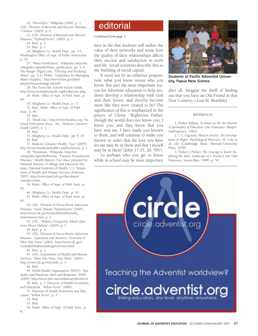22. "Electrolyte," *Wikipedia* (2006), p. 1;<br>C, Division of Bacterial and Mycotic Diseases, **etc. Politorial** CDC, Division of Bacterial and Mycotic Diseases, "Cholera" (2005), p. 2.

23. CDC, Division of Bacterial and Mycotic Diseases, "Typhoid Fever" (2005), p. 1.

24. Ibid., p. 3.

25. Ibid., p. 1.

26. Allegheny Co. Health Dept., pp. 3-6; Washington Office of Supt. of Public Instruction, p. 33.

27. "Water Purification," *Wikipedia*, http://en. wikipedia.org/wiki/Water\_purification, pp. 4, 6; The Ranger Digest.com, "Filtering and Purifying Water," pp. 5, 6; FEMA, "Guidelines for Managing Water Supplies," http://www.fema.gov/plan/ prepare/watermanage.shtm#2.

28. The Food-Safe Schools Action Guide, http://www.foodsafeschools.org/foodservice.phg.

29. Wash. Office of Supt. of Publ. Instr., p.  $80^{\circ}$ 

30. Allegheny Co. Health Dept., p. 17.

31. Ibid.; Wash. Office of Supt. of Publ.

Instr., p. 89. 32. Ibid.

33. "Head Lice," http://www.headlice.org; National Pediculosis Assoc., Inc., *Medicine Consumer Health* (2005), p. 1.

34. Ibid.

35. Allegheny Co. Health Dept., pp. 9, 10. 36. Ibid.

37. *Medicine Consumer Health*, "Lice" (2005), http://www.emedicinehealth.com/lice/article, p. 1.

38. "Parasitism," *Wikipedia*, http://en. wikipedia.org/wiki/Parasite; "Parasitic Roundworm Diseases," Health Matters, Fact sheet prepared by National Institute of Allergy and Infectious Diseases, National Institutes of Health, U.S. Department of Health and Human Services (February 2005), http://www.niaid.nih.gov/factsheets/ roundwor.htm.

39. Wash. Office of Supt. of Publ. Instr., p. 85.

40. Allegheny Co. Health Dept., p. 10. 41. Wash. Office of Supt. of Publ. Instr., p.

85.

42. CDC, Division of Vector-Borne Infectious Diseases, "Lyme Disease Transmission" (2005), http://www.cdc.gov/ncidod/dvbid/lyme/ld\_ transmission.htm, p. 2.

43. CDC, "Malaria, Frequently Asked Questions About Malaria" (2005), p. 1.

44. Ibid., p. 6.

45. CDC, Division of Vector-Borne Infectious Diseases, "Questions and Answers, Overview of West Nile Virus" (2004), http://www.cdc.gov/ ncidod/dvbid/westnile/ga/overview.html.

46. Ibid., p. 1.

47. CDC, Department of Health and Human Services, "West Nile Virus, Fact Sheet" (2005), http://www.cdc.gov/westnile, p. 1.

48. Ibid.

49. World Health Organization (WHO), "Epidemic and Pandemic Alert and Response" (EPR) (2006), http://www.who.int/csr/diseas/yellowfever.

50. Ibid., p. 1; Directors of Health Promotion and Education, "Yellow Fever" (2006).

51. Directors of Health Promotion and Education, "Yellow Fever," p. 1.

52. Ibid.

53. Ibid.

54. Wash. Office of Supt. of Publ. Instr., p. 8.

## *Continued from page 3*

later in life that students will realize the value of their networks and sense how the quality of their relationships affects their success and satisfaction in work and life. Social scientists describe this as the building of social capital.

It need not be an either/or proposition: what you know versus who you know. But isn't the most important reason for Adventist education to help students develop a relationship with God and their Savior, and thereby become more like they were created to be? The significance of this is emphasized in the prayer of Christ: "Righteous Father, though the world does not know you, I know you, and they know that you have sent me. I have made you known to them, and will continue to make you known in order that the love you have for me may be in them and that I myself may be in them" (John 17:25, 26, NIV).

So perhaps who you get to know while in school may be most important



**Students at Pacific Adventist University, Papua New Guinea**

after all. Imagine the thrill of finding out that you have an Old Friend in that New Country.—Lisa M. Beardsley.

#### **REFERENCES**

\_\_\_\_\_\_\_\_\_\_\_\_\_\_\_\_\_\_\_\_\_\_\_\_\_\_\_\_\_\_\_

1. Parker Palmer, *To Know as We Are Known: A Spirituality of Education* (San Francisco: Harper-SanFrancisco, 1983).

2. L S. Vygotsky, *Mind in Society: The Development of Higher Psychological Processes*, M. Cole et al., eds. (Cambridge, Mass.: Harvard University Press, 1978).

3. Parker J. Palmer, *The Courage to Teach: Exploring the Inner Landscape of a Teacher's Life* (San Francisco: Jossey-Bass, 1998), p. 54.